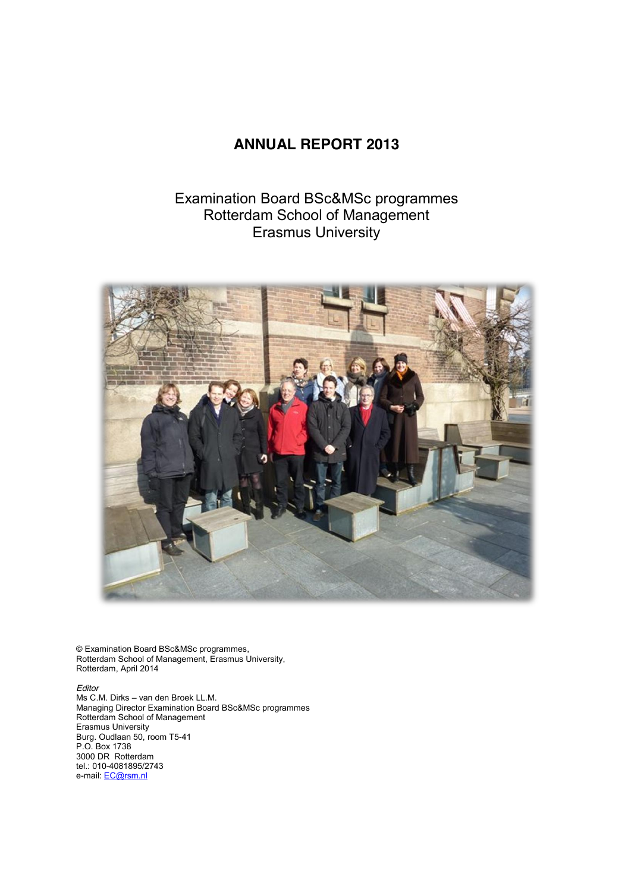## **ANNUAL REPORT 2013**

## Examination Board BSc&MSc programmes Rotterdam School of Management Erasmus University



© Examination Board BSc&MSc programmes, Rotterdam School of Management, Erasmus University, Rotterdam, April 2014

*Editor* Ms C.M. Dirks – van den Broek LL.M. Managing Director Examination Board BSc&MSc programmes Rotterdam School of Management Erasmus University Burg. Oudlaan 50, room T5-41 P.O. Box 1738 3000 DR Rotterdam tel.: 010-4081895/2743 e-mail: EC@rsm.nl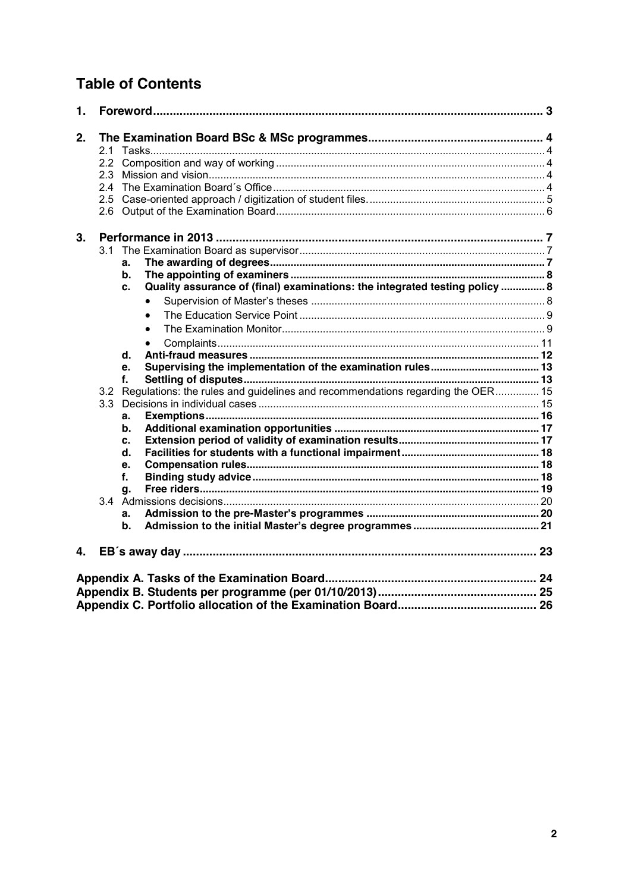# **Table of Contents**

| 1. |     |                                                                                    |  |
|----|-----|------------------------------------------------------------------------------------|--|
| 2. | 2.1 |                                                                                    |  |
|    | 2.2 |                                                                                    |  |
|    | 2.3 |                                                                                    |  |
|    | 2.4 |                                                                                    |  |
|    | 2.5 |                                                                                    |  |
|    |     |                                                                                    |  |
| 3. |     |                                                                                    |  |
|    | 3.1 |                                                                                    |  |
|    |     | a.                                                                                 |  |
|    |     | b.                                                                                 |  |
|    |     | Quality assurance of (final) examinations: the integrated testing policy  8<br>c.  |  |
|    |     | $\bullet$                                                                          |  |
|    |     | $\bullet$                                                                          |  |
|    |     | $\bullet$                                                                          |  |
|    |     | $\bullet$                                                                          |  |
|    |     | d.                                                                                 |  |
|    |     | e.                                                                                 |  |
|    |     | f.                                                                                 |  |
|    |     | 3.2 Regulations: the rules and guidelines and recommendations regarding the OER 15 |  |
|    |     |                                                                                    |  |
|    |     | a.                                                                                 |  |
|    |     | b.                                                                                 |  |
|    |     | c.                                                                                 |  |
|    |     | d.                                                                                 |  |
|    |     | e.                                                                                 |  |
|    |     | f.                                                                                 |  |
|    |     | q.                                                                                 |  |
|    |     |                                                                                    |  |
|    |     | a.                                                                                 |  |
|    |     | b.                                                                                 |  |
| 4. |     |                                                                                    |  |
|    |     |                                                                                    |  |
|    |     |                                                                                    |  |
|    |     |                                                                                    |  |
|    |     |                                                                                    |  |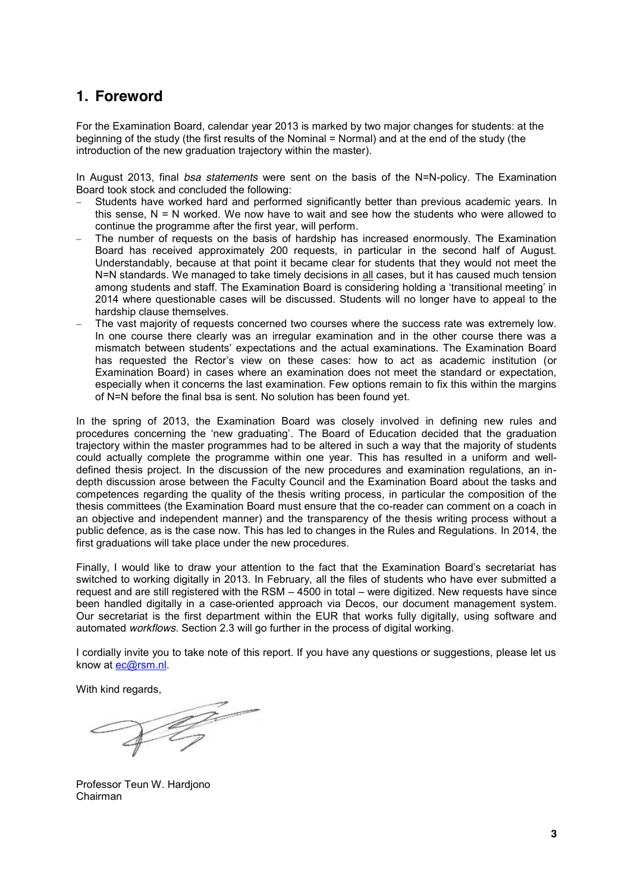## **1. Foreword**

For the Examination Board, calendar year 2013 is marked by two major changes for students: at the beginning of the study (the first results of the Nominal = Normal) and at the end of the study (the introduction of the new graduation trajectory within the master).

In August 2013, final *bsa statements* were sent on the basis of the N=N-policy. The Examination Board took stock and concluded the following:

- Students have worked hard and performed significantly better than previous academic years. In this sense,  $N = N$  worked. We now have to wait and see how the students who were allowed to continue the programme after the first year, will perform.
- The number of requests on the basis of hardship has increased enormously. The Examination Board has received approximately 200 requests, in particular in the second half of August. Understandably, because at that point it became clear for students that they would not meet the N=N standards. We managed to take timely decisions in all cases, but it has caused much tension among students and staff. The Examination Board is considering holding a 'transitional meeting' in 2014 where questionable cases will be discussed. Students will no longer have to appeal to the hardship clause themselves.
- The vast majority of requests concerned two courses where the success rate was extremely low. In one course there clearly was an irregular examination and in the other course there was a mismatch between students' expectations and the actual examinations. The Examination Board has requested the Rector's view on these cases: how to act as academic institution (or Examination Board) in cases where an examination does not meet the standard or expectation, especially when it concerns the last examination. Few options remain to fix this within the margins of N=N before the final bsa is sent. No solution has been found yet.

In the spring of 2013, the Examination Board was closely involved in defining new rules and procedures concerning the 'new graduating'. The Board of Education decided that the graduation trajectory within the master programmes had to be altered in such a way that the majority of students could actually complete the programme within one year. This has resulted in a uniform and welldefined thesis project. In the discussion of the new procedures and examination regulations, an indepth discussion arose between the Faculty Council and the Examination Board about the tasks and competences regarding the quality of the thesis writing process, in particular the composition of the thesis committees (the Examination Board must ensure that the co-reader can comment on a coach in an objective and independent manner) and the transparency of the thesis writing process without a public defence, as is the case now. This has led to changes in the Rules and Regulations. In 2014, the first graduations will take place under the new procedures.

Finally, I would like to draw your attention to the fact that the Examination Board's secretariat has switched to working digitally in 2013. In February, all the files of students who have ever submitted a request and are still registered with the RSM – 4500 in total – were digitized. New requests have since been handled digitally in a case-oriented approach via Decos, our document management system. Our secretariat is the first department within the EUR that works fully digitally, using software and automated *workflows*. Section 2.3 will go further in the process of digital working.

I cordially invite you to take note of this report. If you have any questions or suggestions, please let us know at ec@rsm.nl.

With kind regards,

 $\frac{1}{2}$ 

Professor Teun W. Hardjono Chairman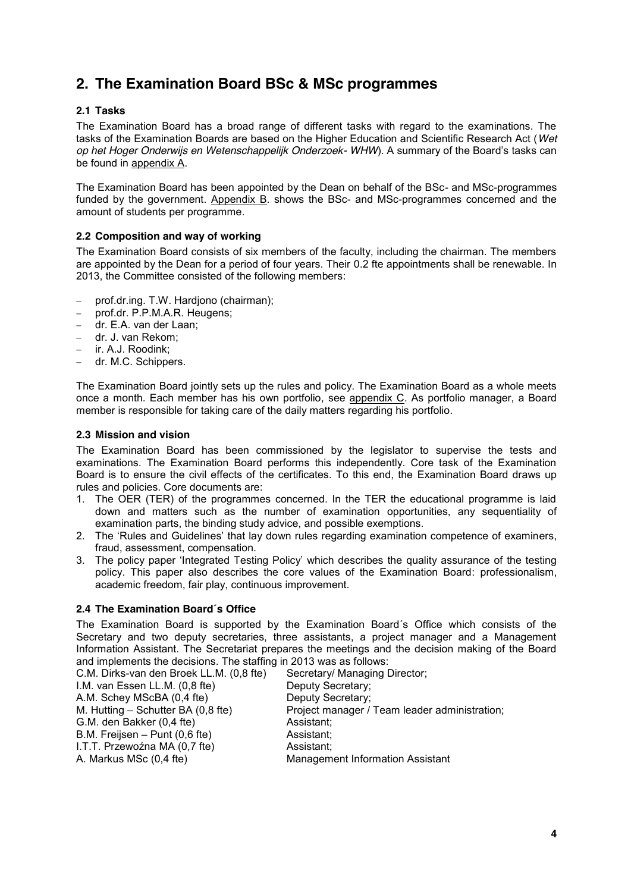# **2. The Examination Board BSc & MSc programmes**

## **2.1 Tasks**

The Examination Board has a broad range of different tasks with regard to the examinations. The tasks of the Examination Boards are based on the Higher Education and Scientific Research Act (*Wet op het Hoger Onderwijs en Wetenschappelijk Onderzoek- WHW*). A summary of the Board's tasks can be found in appendix A.

The Examination Board has been appointed by the Dean on behalf of the BSc- and MSc-programmes funded by the government. Appendix B. shows the BSc- and MSc-programmes concerned and the amount of students per programme.

## **2.2 Composition and way of working**

The Examination Board consists of six members of the faculty, including the chairman. The members are appointed by the Dean for a period of four years. Their 0.2 fte appointments shall be renewable. In 2013, the Committee consisted of the following members:

- prof.dr.ing. T.W. Hardjono (chairman);
- prof.dr. P.P.M.A.R. Heugens;
- dr. E.A. van der Laan;
- dr. J. van Rekom;
- ir. A.J. Roodink:
- dr. M.C. Schippers.

The Examination Board jointly sets up the rules and policy. The Examination Board as a whole meets once a month. Each member has his own portfolio, see appendix C. As portfolio manager, a Board member is responsible for taking care of the daily matters regarding his portfolio.

## **2.3 Mission and vision**

The Examination Board has been commissioned by the legislator to supervise the tests and examinations. The Examination Board performs this independently. Core task of the Examination Board is to ensure the civil effects of the certificates. To this end, the Examination Board draws up rules and policies. Core documents are:

- 1. The OER (TER) of the programmes concerned. In the TER the educational programme is laid down and matters such as the number of examination opportunities, any sequentiality of examination parts, the binding study advice, and possible exemptions.
- 2. The 'Rules and Guidelines' that lay down rules regarding examination competence of examiners, fraud, assessment, compensation.
- 3. The policy paper 'Integrated Testing Policy' which describes the quality assurance of the testing policy. This paper also describes the core values of the Examination Board: professionalism, academic freedom, fair play, continuous improvement.

## **2.4 The Examination Board´s Office**

The Examination Board is supported by the Examination Board´s Office which consists of the Secretary and two deputy secretaries, three assistants, a project manager and a Management Information Assistant. The Secretariat prepares the meetings and the decision making of the Board and implements the decisions. The staffing in 2013 was as follows:

C.M. Dirks-van den Broek LL.M. (0,8 fte) Secretary/ Managing Director; I.M. van Essen LL.M. (0,8 fte) Deputy Secretary; A.M. Schey MScBA (0,4 fte) Deputy Secretary; M. Hutting – Schutter BA (0,8 fte) Project manager / Team leader administration; G.M. den Bakker (0,4 fte) Assistant; B.M. Freijsen – Punt (0,6 fte) Assistant; I.T.T. Przewoźna MA (0,7 fte) Assistant; A. Markus MSc (0,4 fte) Management Information Assistant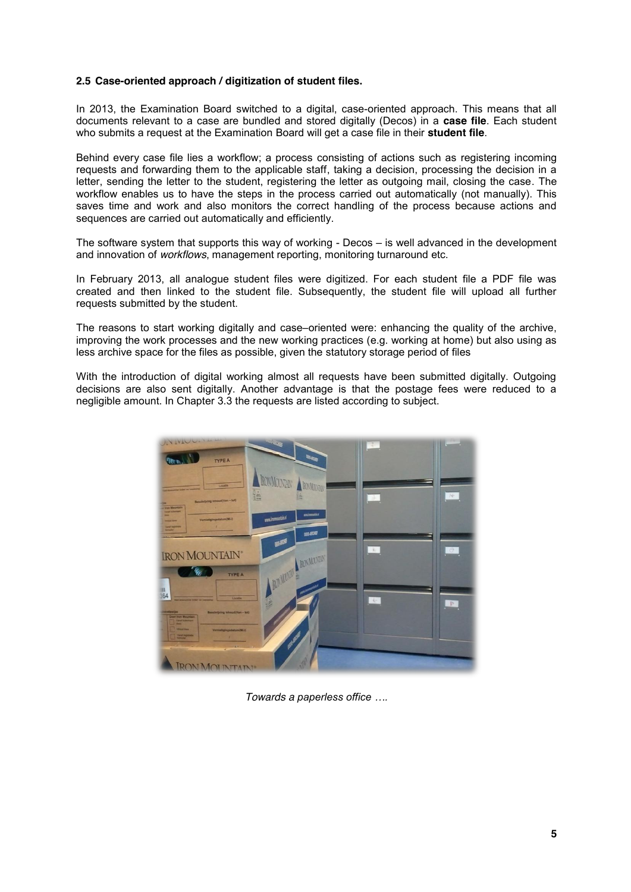## **2.5 Case-oriented approach / digitization of student files.**

In 2013, the Examination Board switched to a digital, case-oriented approach. This means that all documents relevant to a case are bundled and stored digitally (Decos) in a **case file**. Each student who submits a request at the Examination Board will get a case file in their **student file**.

Behind every case file lies a workflow; a process consisting of actions such as registering incoming requests and forwarding them to the applicable staff, taking a decision, processing the decision in a letter, sending the letter to the student, registering the letter as outgoing mail, closing the case. The workflow enables us to have the steps in the process carried out automatically (not manually). This saves time and work and also monitors the correct handling of the process because actions and sequences are carried out automatically and efficiently.

The software system that supports this way of working - Decos – is well advanced in the development and innovation of *workflows*, management reporting, monitoring turnaround etc.

In February 2013, all analogue student files were digitized. For each student file a PDF file was created and then linked to the student file. Subsequently, the student file will upload all further requests submitted by the student.

The reasons to start working digitally and case–oriented were: enhancing the quality of the archive, improving the work processes and the new working practices (e.g. working at home) but also using as less archive space for the files as possible, given the statutory storage period of files

With the introduction of digital working almost all requests have been submitted digitally. Outgoing decisions are also sent digitally. Another advantage is that the postage fees were reduced to a negligible amount. In Chapter 3.3 the requests are listed according to subject.



*Towards a paperless office ….*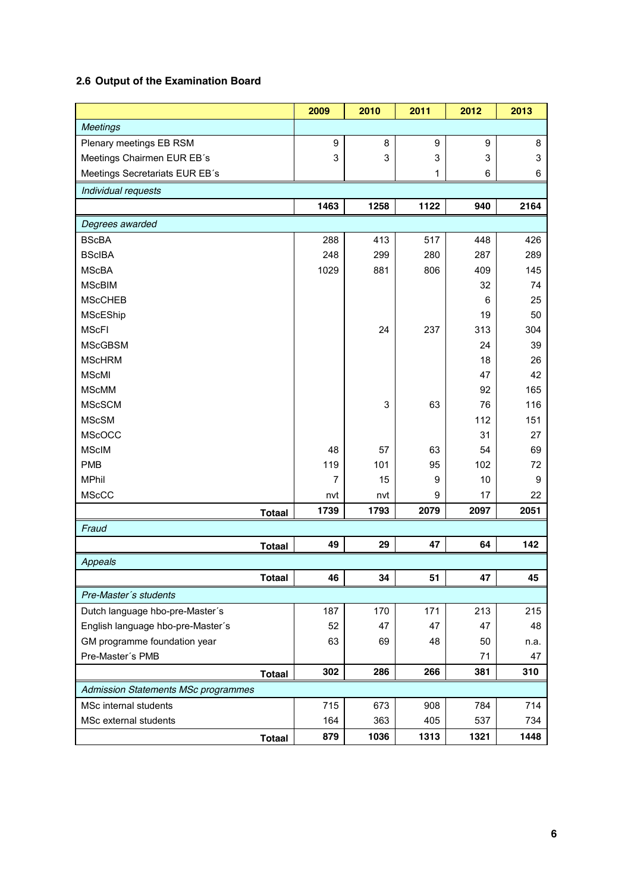## **2.6 Output of the Examination Board**

|                                     |               | 2009           | 2010 | 2011 | 2012 | 2013 |
|-------------------------------------|---------------|----------------|------|------|------|------|
| <b>Meetings</b>                     |               |                |      |      |      |      |
| Plenary meetings EB RSM             |               | 9              | 8    | 9    | 9    | 8    |
| Meetings Chairmen EUR EB's          |               | 3              | 3    | 3    | 3    | 3    |
| Meetings Secretariats EUR EB's      |               |                |      | 1    | 6    | 6    |
| Individual requests                 |               |                |      |      |      |      |
|                                     |               | 1463           | 1258 | 1122 | 940  | 2164 |
| Degrees awarded                     |               |                |      |      |      |      |
| <b>BScBA</b>                        |               | 288            | 413  | 517  | 448  | 426  |
| <b>BScIBA</b>                       |               | 248            | 299  | 280  | 287  | 289  |
| <b>MScBA</b>                        |               | 1029           | 881  | 806  | 409  | 145  |
| <b>MScBIM</b>                       |               |                |      |      | 32   | 74   |
| <b>MScCHEB</b>                      |               |                |      |      | 6    | 25   |
| MScEShip                            |               |                |      |      | 19   | 50   |
| <b>MScFI</b>                        |               |                | 24   | 237  | 313  | 304  |
| <b>MScGBSM</b>                      |               |                |      |      | 24   | 39   |
| <b>MScHRM</b>                       |               |                |      |      | 18   | 26   |
| <b>MScMI</b>                        |               |                |      |      | 47   | 42   |
| <b>MScMM</b>                        |               |                |      |      | 92   | 165  |
| <b>MScSCM</b>                       |               |                | 3    | 63   | 76   | 116  |
| <b>MScSM</b>                        |               |                |      |      | 112  | 151  |
| <b>MScOCC</b>                       |               |                |      |      | 31   | 27   |
| <b>MScIM</b>                        |               | 48             | 57   | 63   | 54   | 69   |
| <b>PMB</b>                          |               | 119            | 101  | 95   | 102  | 72   |
| <b>MPhil</b>                        |               | $\overline{7}$ | 15   | 9    | 10   | 9    |
| <b>MScCC</b>                        |               | nvt            | nvt  | 9    | 17   | 22   |
|                                     | <b>Totaal</b> | 1739           | 1793 | 2079 | 2097 | 2051 |
| Fraud                               |               |                |      |      |      |      |
|                                     | <b>Totaal</b> | 49             | 29   | 47   | 64   | 142  |
| Appeals                             |               |                |      |      |      |      |
|                                     | <b>Totaal</b> | 46             | 34   | 51   | 47   | 45   |
| Pre-Master's students               |               |                |      |      |      |      |
| Dutch language hbo-pre-Master's     |               | 187            | 170  | 171  | 213  | 215  |
| English language hbo-pre-Master's   |               | 52             | 47   | 47   | 47   | 48   |
| GM programme foundation year        |               | 63             | 69   | 48   | 50   | n.a. |
| Pre-Master's PMB                    |               |                |      |      | 71   | 47   |
|                                     | <b>Totaal</b> | 302            | 286  | 266  | 381  | 310  |
| Admission Statements MSc programmes |               |                |      |      |      |      |
| MSc internal students               |               | 715            | 673  | 908  | 784  | 714  |
| MSc external students               |               | 164            | 363  | 405  | 537  | 734  |
|                                     | <b>Totaal</b> | 879            | 1036 | 1313 | 1321 | 1448 |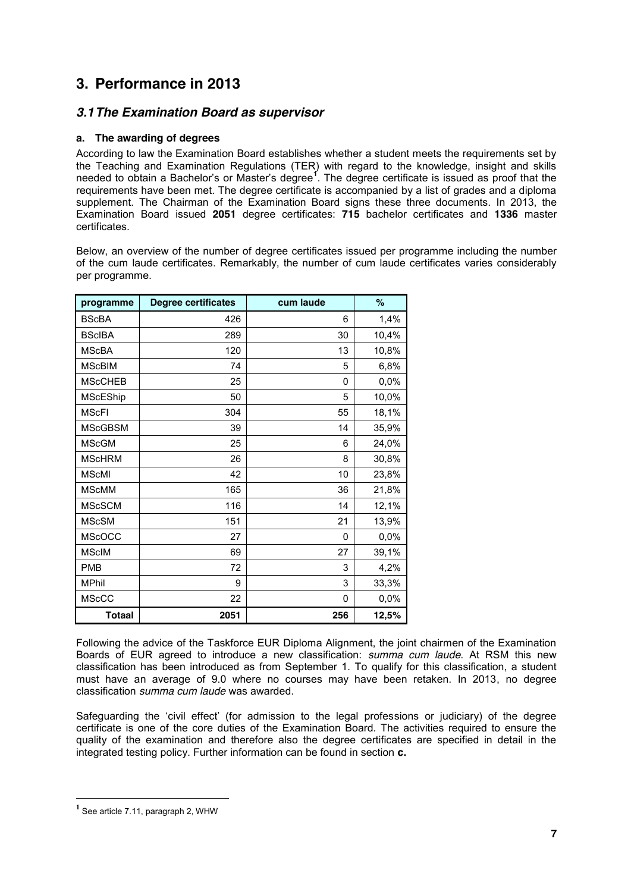# **3. Performance in 2013**

## *3.1The Examination Board as supervisor*

## **a. The awarding of degrees**

According to law the Examination Board establishes whether a student meets the requirements set by the Teaching and Examination Regulations (TER) with regard to the knowledge, insight and skills needed to obtain a Bachelor's or Master's degree**<sup>1</sup>** . The degree certificate is issued as proof that the requirements have been met. The degree certificate is accompanied by a list of grades and a diploma supplement. The Chairman of the Examination Board signs these three documents. In 2013, the Examination Board issued **2051** degree certificates: **715** bachelor certificates and **1336** master certificates.

Below, an overview of the number of degree certificates issued per programme including the number of the cum laude certificates. Remarkably, the number of cum laude certificates varies considerably per programme.

| programme       | <b>Degree certificates</b> | cum laude | $\%$  |
|-----------------|----------------------------|-----------|-------|
| <b>BScBA</b>    | 426                        | 6         | 1,4%  |
| <b>BScIBA</b>   | 289                        | 30        | 10,4% |
| <b>MScBA</b>    | 120                        | 13        | 10,8% |
| <b>MScBIM</b>   | 74                         | 5         | 6,8%  |
| <b>MScCHEB</b>  | 25                         | 0         | 0,0%  |
| <b>MScEShip</b> | 50                         | 5         | 10,0% |
| <b>MScFI</b>    | 304                        | 55        | 18,1% |
| <b>MScGBSM</b>  | 39                         | 14        | 35,9% |
| <b>MScGM</b>    | 25                         | 6         | 24,0% |
| <b>MScHRM</b>   | 26                         | 8         | 30,8% |
| <b>MScMI</b>    | 42                         | 10        | 23,8% |
| <b>MScMM</b>    | 165                        | 36        | 21,8% |
| <b>MScSCM</b>   | 116                        | 14        | 12,1% |
| <b>MScSM</b>    | 151                        | 21        | 13,9% |
| <b>MScOCC</b>   | 27                         | 0         | 0,0%  |
| <b>MScIM</b>    | 69                         | 27        | 39,1% |
| <b>PMB</b>      | 72                         | 3         | 4,2%  |
| <b>MPhil</b>    | 9                          | 3         | 33,3% |
| <b>MScCC</b>    | 22                         | 0         | 0,0%  |
| <b>Totaal</b>   | 2051                       | 256       | 12,5% |

Following the advice of the Taskforce EUR Diploma Alignment, the joint chairmen of the Examination Boards of EUR agreed to introduce a new classification: *summa cum laude*. At RSM this new classification has been introduced as from September 1. To qualify for this classification, a student must have an average of 9.0 where no courses may have been retaken. In 2013, no degree classification *summa cum laude* was awarded.

Safeguarding the 'civil effect' (for admission to the legal professions or judiciary) of the degree certificate is one of the core duties of the Examination Board. The activities required to ensure the quality of the examination and therefore also the degree certificates are specified in detail in the integrated testing policy. Further information can be found in section **c.**

 $\overline{a}$ 

**<sup>1</sup>** See article 7.11, paragraph 2, WHW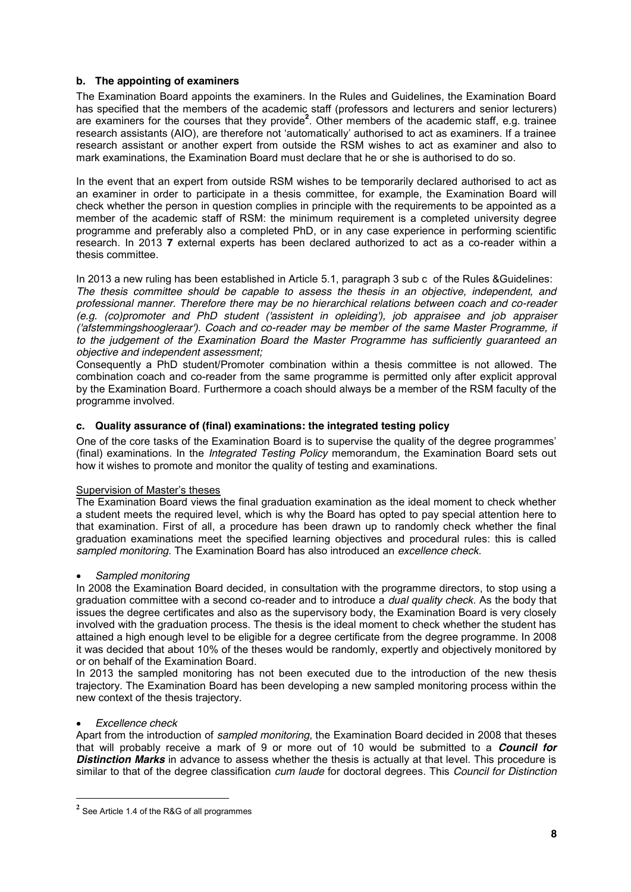## **b. The appointing of examiners**

The Examination Board appoints the examiners. In the Rules and Guidelines, the Examination Board has specified that the members of the academic staff (professors and lecturers and senior lecturers) are examiners for the courses that they provide**<sup>2</sup>** . Other members of the academic staff, e.g. trainee research assistants (AIO), are therefore not 'automatically' authorised to act as examiners. If a trainee research assistant or another expert from outside the RSM wishes to act as examiner and also to mark examinations, the Examination Board must declare that he or she is authorised to do so.

In the event that an expert from outside RSM wishes to be temporarily declared authorised to act as an examiner in order to participate in a thesis committee, for example, the Examination Board will check whether the person in question complies in principle with the requirements to be appointed as a member of the academic staff of RSM: the minimum requirement is a completed university degree programme and preferably also a completed PhD, or in any case experience in performing scientific research. In 2013 **7** external experts has been declared authorized to act as a co-reader within a thesis committee.

In 2013 a new ruling has been established in Article 5.1, paragraph 3 sub c of the Rules &Guidelines: *The thesis committee should be capable to assess the thesis in an objective, independent, and professional manner. Therefore there may be no hierarchical relations between coach and co-reader (e.g. (co)promoter and PhD student ('assistent in opleiding'), job appraisee and job appraiser ('afstemmingshoogleraar'). Coach and co-reader may be member of the same Master Programme, if to the judgement of the Examination Board the Master Programme has sufficiently guaranteed an objective and independent assessment;*

Consequently a PhD student/Promoter combination within a thesis committee is not allowed. The combination coach and co-reader from the same programme is permitted only after explicit approval by the Examination Board. Furthermore a coach should always be a member of the RSM faculty of the programme involved.

## **c. Quality assurance of (final) examinations: the integrated testing policy**

One of the core tasks of the Examination Board is to supervise the quality of the degree programmes' (final) examinations. In the *Integrated Testing Policy* memorandum, the Examination Board sets out how it wishes to promote and monitor the quality of testing and examinations.

## Supervision of Master's theses

The Examination Board views the final graduation examination as the ideal moment to check whether a student meets the required level, which is why the Board has opted to pay special attention here to that examination. First of all, a procedure has been drawn up to randomly check whether the final graduation examinations meet the specified learning objectives and procedural rules: this is called *sampled monitoring*. The Examination Board has also introduced an *excellence check*.

## x *Sampled monitoring*

In 2008 the Examination Board decided, in consultation with the programme directors, to stop using a graduation committee with a second co-reader and to introduce a *dual quality check*. As the body that issues the degree certificates and also as the supervisory body, the Examination Board is very closely involved with the graduation process. The thesis is the ideal moment to check whether the student has attained a high enough level to be eligible for a degree certificate from the degree programme. In 2008 it was decided that about 10% of the theses would be randomly, expertly and objectively monitored by or on behalf of the Examination Board.

In 2013 the sampled monitoring has not been executed due to the introduction of the new thesis trajectory. The Examination Board has been developing a new sampled monitoring process within the new context of the thesis trajectory.

## x *Excellence check*

 $\overline{a}$ 

Apart from the introduction of *sampled monitoring*, the Examination Board decided in 2008 that theses that will probably receive a mark of 9 or more out of 10 would be submitted to a *Council for*  **Distinction Marks** in advance to assess whether the thesis is actually at that level. This procedure is similar to that of the degree classification *cum laude* for doctoral degrees. This *Council for Distinction* 

**<sup>2</sup>** See Article 1.4 of the R&G of all programmes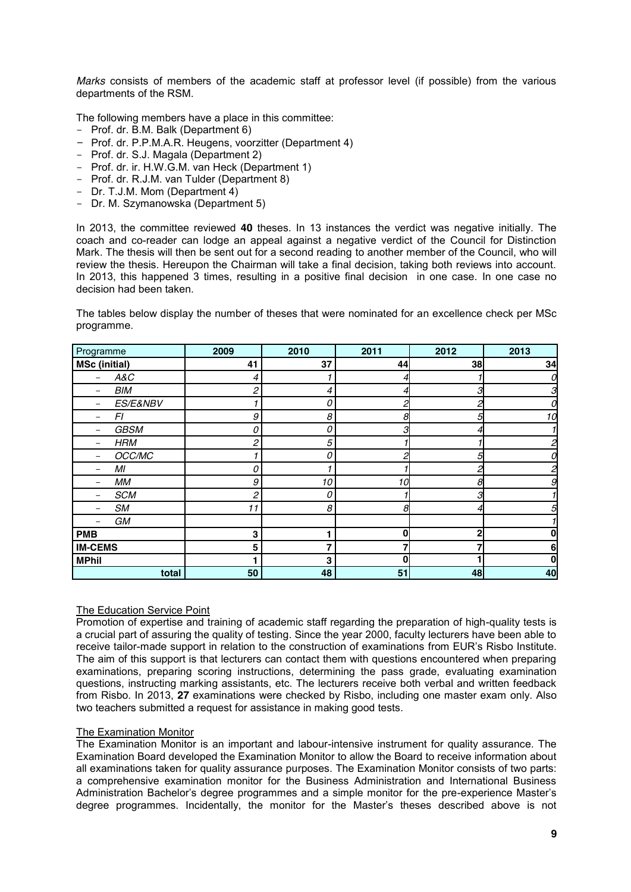*Marks* consists of members of the academic staff at professor level (if possible) from the various departments of the RSM.

The following members have a place in this committee:

- Prof. dr. B.M. Balk (Department 6)
- Prof. dr. P.P.M.A.R. Heugens, voorzitter (Department 4)
- Prof. dr. S.J. Magala (Department 2)
- Prof. dr. ir. H.W.G.M. van Heck (Department 1)
- Prof. dr. R.J.M. van Tulder (Department 8)
- Dr. T.J.M. Mom (Department 4)
- Dr. M. Szymanowska (Department 5)

In 2013, the committee reviewed **40** theses. In 13 instances the verdict was negative initially. The coach and co-reader can lodge an appeal against a negative verdict of the Council for Distinction Mark. The thesis will then be sent out for a second reading to another member of the Council, who will review the thesis. Hereupon the Chairman will take a final decision, taking both reviews into account. In 2013, this happened 3 times, resulting in a positive final decision in one case. In one case no decision had been taken.

The tables below display the number of theses that were nominated for an excellence check per MSc programme.

| Programme            | 2009 | 2010 | 2011 | 2012         | 2013 |
|----------------------|------|------|------|--------------|------|
| <b>MSc (initial)</b> | 41   | 37   | 44   | 38           | 34   |
| A&C                  | 4    |      |      |              | 0    |
| <b>BIM</b><br>-      | 2    | 4    |      | З            | З    |
| ES/E&NBV<br>-        |      | 0    |      |              | 0    |
| FI                   | 9    | 8    |      | 5            | 10   |
| <b>GBSM</b><br>-     | 0    | 0    |      |              |      |
| <b>HRM</b>           | 2    | 5    |      |              |      |
| OCC/MC               |      | 0    |      | 5            | 0    |
| MI                   | 0    |      |      | 2            | 2    |
| МM                   | 9    | 10   | 10   | 8            | 9    |
| <b>SCM</b>           | 2    | 0    |      | 3            |      |
| SM                   | 11   | 8    | 8    |              | 5    |
| GM                   |      |      |      |              |      |
| <b>PMB</b>           | 3    |      | በ    | $\mathbf{2}$ | 0    |
| <b>IM-CEMS</b>       | 5    |      |      |              | 6    |
| <b>MPhil</b>         |      | 3    | በ    |              | 0    |
| total                | 50   | 48   | 51   | 48           | 40   |

## The Education Service Point

Promotion of expertise and training of academic staff regarding the preparation of high-quality tests is a crucial part of assuring the quality of testing. Since the year 2000, faculty lecturers have been able to receive tailor-made support in relation to the construction of examinations from EUR's Risbo Institute. The aim of this support is that lecturers can contact them with questions encountered when preparing examinations, preparing scoring instructions, determining the pass grade, evaluating examination questions, instructing marking assistants, etc. The lecturers receive both verbal and written feedback from Risbo. In 2013, **27** examinations were checked by Risbo, including one master exam only. Also two teachers submitted a request for assistance in making good tests.

### The Examination Monitor

The Examination Monitor is an important and labour-intensive instrument for quality assurance. The Examination Board developed the Examination Monitor to allow the Board to receive information about all examinations taken for quality assurance purposes. The Examination Monitor consists of two parts: a comprehensive examination monitor for the Business Administration and International Business Administration Bachelor's degree programmes and a simple monitor for the pre-experience Master's degree programmes. Incidentally, the monitor for the Master's theses described above is not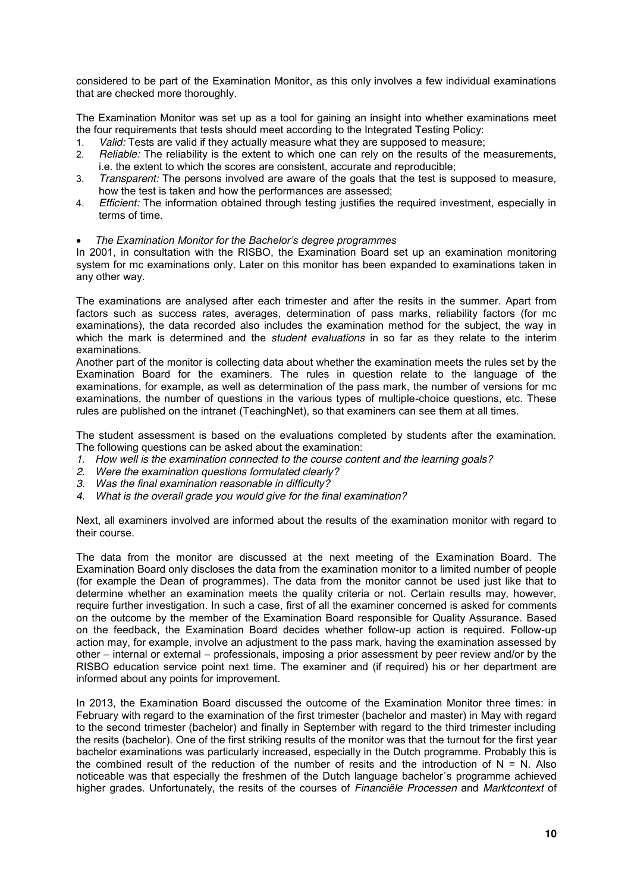considered to be part of the Examination Monitor, as this only involves a few individual examinations that are checked more thoroughly.

The Examination Monitor was set up as a tool for gaining an insight into whether examinations meet the four requirements that tests should meet according to the Integrated Testing Policy:

- 1. *Valid:* Tests are valid if they actually measure what they are supposed to measure;
- 2. *Reliable:* The reliability is the extent to which one can rely on the results of the measurements, i.e. the extent to which the scores are consistent, accurate and reproducible;
- 3. *Transparent:* The persons involved are aware of the goals that the test is supposed to measure, how the test is taken and how the performances are assessed;
- 4. *Efficient:* The information obtained through testing justifies the required investment, especially in terms of time.
- x *The Examination Monitor for the Bachelor's degree programmes*

In 2001, in consultation with the RISBO, the Examination Board set up an examination monitoring system for mc examinations only. Later on this monitor has been expanded to examinations taken in any other way.

The examinations are analysed after each trimester and after the resits in the summer. Apart from factors such as success rates, averages, determination of pass marks, reliability factors (for mc examinations), the data recorded also includes the examination method for the subject, the way in which the mark is determined and the *student evaluations* in so far as they relate to the interim examinations.

Another part of the monitor is collecting data about whether the examination meets the rules set by the Examination Board for the examiners. The rules in question relate to the language of the examinations, for example, as well as determination of the pass mark, the number of versions for mc examinations, the number of questions in the various types of multiple-choice questions, etc. These rules are published on the intranet (TeachingNet), so that examiners can see them at all times.

The student assessment is based on the evaluations completed by students after the examination. The following questions can be asked about the examination:

- *1. How well is the examination connected to the course content and the learning goals?*
- *2. Were the examination questions formulated clearly?*
- *3. Was the final examination reasonable in difficulty?*
- *4. What is the overall grade you would give for the final examination?*

Next, all examiners involved are informed about the results of the examination monitor with regard to their course.

The data from the monitor are discussed at the next meeting of the Examination Board. The Examination Board only discloses the data from the examination monitor to a limited number of people (for example the Dean of programmes). The data from the monitor cannot be used just like that to determine whether an examination meets the quality criteria or not. Certain results may, however, require further investigation. In such a case, first of all the examiner concerned is asked for comments on the outcome by the member of the Examination Board responsible for Quality Assurance. Based on the feedback, the Examination Board decides whether follow-up action is required. Follow-up action may, for example, involve an adjustment to the pass mark, having the examination assessed by other – internal or external – professionals, imposing a prior assessment by peer review and/or by the RISBO education service point next time. The examiner and (if required) his or her department are informed about any points for improvement.

In 2013, the Examination Board discussed the outcome of the Examination Monitor three times: in February with regard to the examination of the first trimester (bachelor and master) in May with regard to the second trimester (bachelor) and finally in September with regard to the third trimester including the resits (bachelor). One of the first striking results of the monitor was that the turnout for the first year bachelor examinations was particularly increased, especially in the Dutch programme. Probably this is the combined result of the reduction of the number of resits and the introduction of  $N = N$ . Also noticeable was that especially the freshmen of the Dutch language bachelor´s programme achieved higher grades. Unfortunately, the resits of the courses of *Financiële Processen* and *Marktcontext* of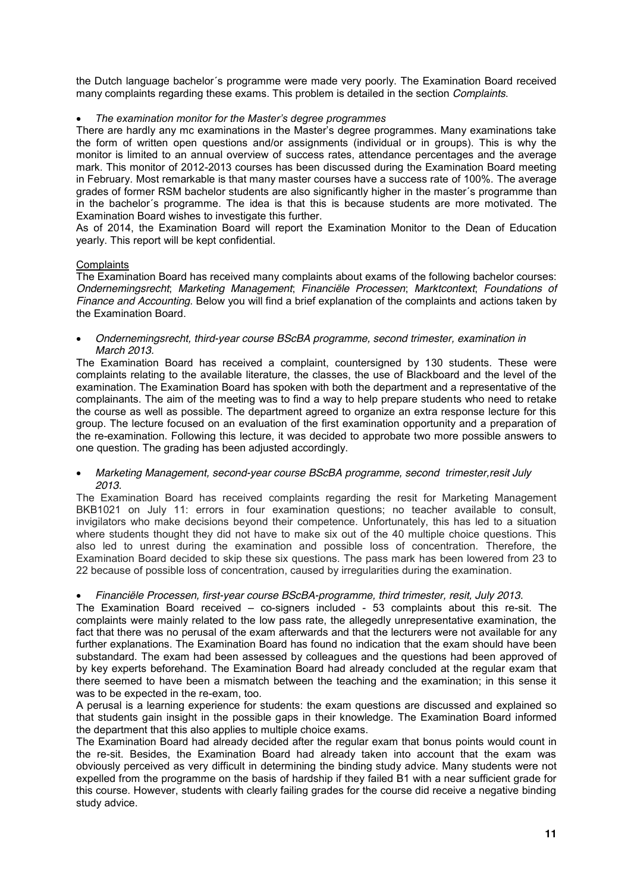the Dutch language bachelor´s programme were made very poorly. The Examination Board received many complaints regarding these exams. This problem is detailed in the section *Complaints*.

## x *The examination monitor for the Master's degree programmes*

There are hardly any mc examinations in the Master's degree programmes. Many examinations take the form of written open questions and/or assignments (individual or in groups). This is why the monitor is limited to an annual overview of success rates, attendance percentages and the average mark. This monitor of 2012-2013 courses has been discussed during the Examination Board meeting in February. Most remarkable is that many master courses have a success rate of 100%. The average grades of former RSM bachelor students are also significantly higher in the master´s programme than in the bachelor´s programme. The idea is that this is because students are more motivated. The Examination Board wishes to investigate this further.

As of 2014, the Examination Board will report the Examination Monitor to the Dean of Education yearly. This report will be kept confidential.

### **Complaints**

The Examination Board has received many complaints about exams of the following bachelor courses: *Ondernemingsrecht*; *Marketing Management*; *Financiële Processen*; *Marktcontext*; *Foundations of Finance and Accounting*. Below you will find a brief explanation of the complaints and actions taken by the Examination Board.

x *Ondernemingsrecht, third-year course BScBA programme, second trimester, examination in March 2013.*

The Examination Board has received a complaint, countersigned by 130 students. These were complaints relating to the available literature, the classes, the use of Blackboard and the level of the examination. The Examination Board has spoken with both the department and a representative of the complainants. The aim of the meeting was to find a way to help prepare students who need to retake the course as well as possible. The department agreed to organize an extra response lecture for this group. The lecture focused on an evaluation of the first examination opportunity and a preparation of the re-examination. Following this lecture, it was decided to approbate two more possible answers to one question. The grading has been adjusted accordingly.

## x *Marketing Management, second-year course BScBA programme, second trimester,resit July 2013.*

The Examination Board has received complaints regarding the resit for Marketing Management BKB1021 on July 11: errors in four examination questions; no teacher available to consult, invigilators who make decisions beyond their competence. Unfortunately, this has led to a situation where students thought they did not have to make six out of the 40 multiple choice questions. This also led to unrest during the examination and possible loss of concentration. Therefore, the Examination Board decided to skip these six questions. The pass mark has been lowered from 23 to 22 because of possible loss of concentration, caused by irregularities during the examination.

### x *Financiële Processen, first-year course BScBA-programme, third trimester, resit, July 2013.*

The Examination Board received – co-signers included - 53 complaints about this re-sit. The complaints were mainly related to the low pass rate, the allegedly unrepresentative examination, the fact that there was no perusal of the exam afterwards and that the lecturers were not available for any further explanations. The Examination Board has found no indication that the exam should have been substandard. The exam had been assessed by colleagues and the questions had been approved of by key experts beforehand. The Examination Board had already concluded at the regular exam that there seemed to have been a mismatch between the teaching and the examination; in this sense it was to be expected in the re-exam, too.

A perusal is a learning experience for students: the exam questions are discussed and explained so that students gain insight in the possible gaps in their knowledge. The Examination Board informed the department that this also applies to multiple choice exams.

The Examination Board had already decided after the regular exam that bonus points would count in the re-sit. Besides, the Examination Board had already taken into account that the exam was obviously perceived as very difficult in determining the binding study advice. Many students were not expelled from the programme on the basis of hardship if they failed B1 with a near sufficient grade for this course. However, students with clearly failing grades for the course did receive a negative binding study advice.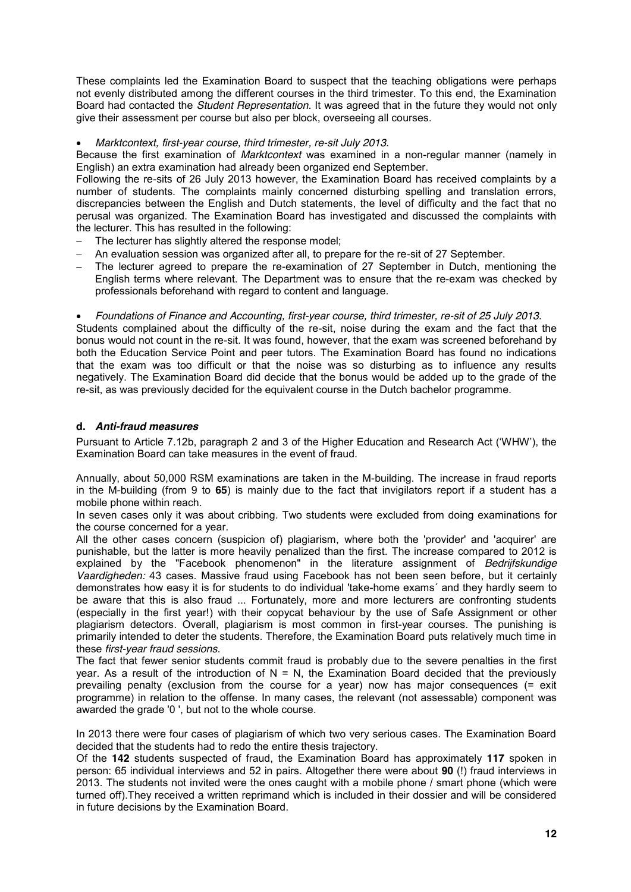These complaints led the Examination Board to suspect that the teaching obligations were perhaps not evenly distributed among the different courses in the third trimester. To this end, the Examination Board had contacted the *Student Representation*. It was agreed that in the future they would not only give their assessment per course but also per block, overseeing all courses.

x *Marktcontext, first-year course, third trimester, re-sit July 2013.*

Because the first examination of *Marktcontext* was examined in a non-regular manner (namely in English) an extra examination had already been organized end September.

Following the re-sits of 26 July 2013 however, the Examination Board has received complaints by a number of students. The complaints mainly concerned disturbing spelling and translation errors, discrepancies between the English and Dutch statements, the level of difficulty and the fact that no perusal was organized. The Examination Board has investigated and discussed the complaints with the lecturer. This has resulted in the following:

- The lecturer has slightly altered the response model;
- An evaluation session was organized after all, to prepare for the re-sit of 27 September.
- The lecturer agreed to prepare the re-examination of 27 September in Dutch, mentioning the English terms where relevant. The Department was to ensure that the re-exam was checked by professionals beforehand with regard to content and language.

x *Foundations of Finance and Accounting, first-year course, third trimester, re-sit of 25 July 2013.* Students complained about the difficulty of the re-sit, noise during the exam and the fact that the bonus would not count in the re-sit. It was found, however, that the exam was screened beforehand by both the Education Service Point and peer tutors. The Examination Board has found no indications that the exam was too difficult or that the noise was so disturbing as to influence any results negatively. The Examination Board did decide that the bonus would be added up to the grade of the re-sit, as was previously decided for the equivalent course in the Dutch bachelor programme.

## **d.** *Anti-fraud measures*

Pursuant to Article 7.12b, paragraph 2 and 3 of the Higher Education and Research Act ('WHW'), the Examination Board can take measures in the event of fraud.

Annually, about 50,000 RSM examinations are taken in the M-building. The increase in fraud reports in the M-building (from 9 to **65**) is mainly due to the fact that invigilators report if a student has a mobile phone within reach.

In seven cases only it was about cribbing. Two students were excluded from doing examinations for the course concerned for a year.

All the other cases concern (suspicion of) plagiarism, where both the 'provider' and 'acquirer' are punishable, but the latter is more heavily penalized than the first. The increase compared to 2012 is explained by the "Facebook phenomenon" in the literature assignment of *Bedrijfskundige Vaardigheden:* 43 cases. Massive fraud using Facebook has not been seen before, but it certainly demonstrates how easy it is for students to do individual 'take-home exams´ and they hardly seem to be aware that this is also fraud ... Fortunately, more and more lecturers are confronting students (especially in the first year!) with their copycat behaviour by the use of Safe Assignment or other plagiarism detectors. Overall, plagiarism is most common in first-year courses. The punishing is primarily intended to deter the students. Therefore, the Examination Board puts relatively much time in these *first-year fraud sessions*.

The fact that fewer senior students commit fraud is probably due to the severe penalties in the first year. As a result of the introduction of  $N = N$ , the Examination Board decided that the previously prevailing penalty (exclusion from the course for a year) now has major consequences (= exit programme) in relation to the offense. In many cases, the relevant (not assessable) component was awarded the grade '0 ', but not to the whole course.

In 2013 there were four cases of plagiarism of which two very serious cases. The Examination Board decided that the students had to redo the entire thesis trajectory.

Of the **142** students suspected of fraud, the Examination Board has approximately **117** spoken in person: 65 individual interviews and 52 in pairs. Altogether there were about **90** (!) fraud interviews in 2013. The students not invited were the ones caught with a mobile phone / smart phone (which were turned off).They received a written reprimand which is included in their dossier and will be considered in future decisions by the Examination Board.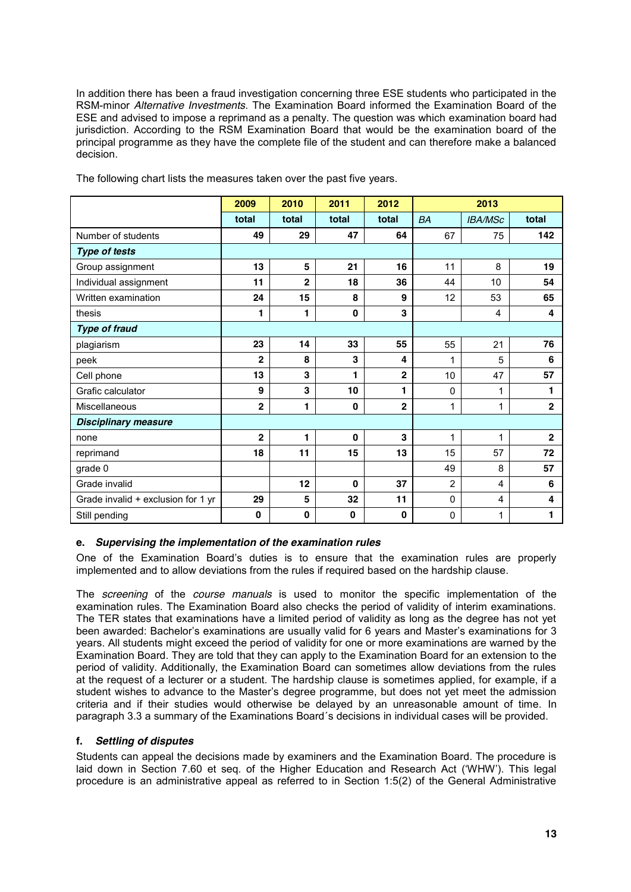In addition there has been a fraud investigation concerning three ESE students who participated in the RSM-minor *Alternative Investments*. The Examination Board informed the Examination Board of the ESE and advised to impose a reprimand as a penalty. The question was which examination board had jurisdiction. According to the RSM Examination Board that would be the examination board of the principal programme as they have the complete file of the student and can therefore make a balanced decision.

|                                    | 2009           | 2010                    | 2011         | 2012           | 2013           |                |                         |
|------------------------------------|----------------|-------------------------|--------------|----------------|----------------|----------------|-------------------------|
|                                    | total          | total                   | total        | total          | <b>BA</b>      | <b>IBA/MSc</b> | total                   |
| Number of students                 | 49             | 29                      | 47           | 64             | 67             | 75             | 142                     |
| <b>Type of tests</b>               |                |                         |              |                |                |                |                         |
| Group assignment                   | 13             | 5                       | 21           | 16             | 11             | 8              | 19                      |
| Individual assignment              | 11             | $\overline{\mathbf{2}}$ | 18           | 36             | 44             | 10             | 54                      |
| Written examination                | 24             | 15                      | 8            | 9              | 12             | 53             | 65                      |
| thesis                             | 1              | 1                       | $\mathbf 0$  | 3              |                | 4              | 4                       |
| <b>Type of fraud</b>               |                |                         |              |                |                |                |                         |
| plagiarism                         | 23             | 14                      | 33           | 55             | 55             | 21             | 76                      |
| peek                               | $\overline{2}$ | 8                       | 3            | 4              | 1              | 5              | 6                       |
| Cell phone                         | 13             | 3                       | 1            | $\mathbf 2$    | 10             | 47             | 57                      |
| Grafic calculator                  | 9              | 3                       | 10           | 1              | 0              | 1              | 1                       |
| Miscellaneous                      | $\overline{2}$ | 1                       | $\bf{0}$     | $\overline{2}$ | 1              | 1              | $\overline{2}$          |
| <b>Disciplinary measure</b>        |                |                         |              |                |                |                |                         |
| none                               | $\mathbf 2$    | 1                       | $\mathbf{0}$ | 3              | 1              | 1              | $\overline{\mathbf{2}}$ |
| reprimand                          | 18             | 11                      | 15           | 13             | 15             | 57             | 72                      |
| grade 0                            |                |                         |              |                | 49             | 8              | 57                      |
| Grade invalid                      |                | 12                      | $\mathbf{0}$ | 37             | $\overline{2}$ | $\overline{4}$ | 6                       |
| Grade invalid + exclusion for 1 yr | 29             | 5                       | 32           | 11             | 0              | $\overline{4}$ | 4                       |
| Still pending                      | $\bf{0}$       | $\mathbf{0}$            | $\mathbf 0$  | $\bf{0}$       | 0              | 1              | 1                       |

The following chart lists the measures taken over the past five years.

## **e.** *Supervising the implementation of the examination rules*

One of the Examination Board's duties is to ensure that the examination rules are properly implemented and to allow deviations from the rules if required based on the hardship clause.

The *screening* of the *course manuals* is used to monitor the specific implementation of the examination rules. The Examination Board also checks the period of validity of interim examinations. The TER states that examinations have a limited period of validity as long as the degree has not yet been awarded: Bachelor's examinations are usually valid for 6 years and Master's examinations for 3 years. All students might exceed the period of validity for one or more examinations are warned by the Examination Board. They are told that they can apply to the Examination Board for an extension to the period of validity. Additionally, the Examination Board can sometimes allow deviations from the rules at the request of a lecturer or a student. The hardship clause is sometimes applied, for example, if a student wishes to advance to the Master's degree programme, but does not yet meet the admission criteria and if their studies would otherwise be delayed by an unreasonable amount of time. In paragraph 3.3 a summary of the Examinations Board´s decisions in individual cases will be provided.

## **f.** *Settling of disputes*

Students can appeal the decisions made by examiners and the Examination Board. The procedure is laid down in Section 7.60 et seq. of the Higher Education and Research Act ('WHW'). This legal procedure is an administrative appeal as referred to in Section 1:5(2) of the General Administrative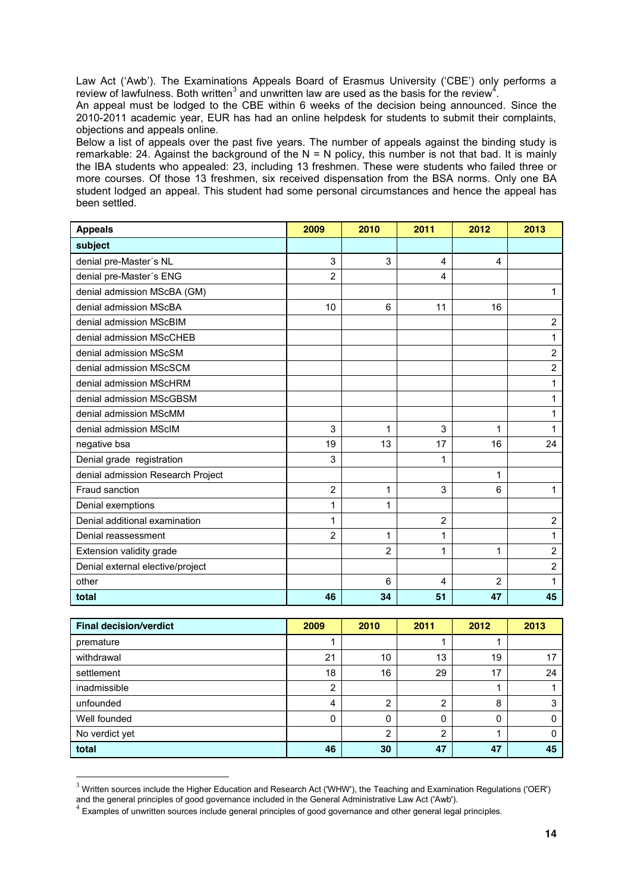Law Act ('Awb'). The Examinations Appeals Board of Erasmus University ('CBE') only performs a review of lawfulness. Both written<sup>3</sup> and unwritten law are used as the basis for the review<sup>4</sup>.

An appeal must be lodged to the CBE within 6 weeks of the decision being announced. Since the 2010-2011 academic year, EUR has had an online helpdesk for students to submit their complaints, objections and appeals online.

Below a list of appeals over the past five years. The number of appeals against the binding study is remarkable: 24. Against the background of the  $N = N$  policy, this number is not that bad. It is mainly the IBA students who appealed: 23, including 13 freshmen. These were students who failed three or more courses. Of those 13 freshmen, six received dispensation from the BSA norms. Only one BA student lodged an appeal. This student had some personal circumstances and hence the appeal has been settled.

| <b>Appeals</b>                    | 2009           | 2010           | 2011           | 2012           | 2013           |
|-----------------------------------|----------------|----------------|----------------|----------------|----------------|
| subject                           |                |                |                |                |                |
| denial pre-Master's NL            | 3              | 3              | 4              | 4              |                |
| denial pre-Master's ENG           | $\overline{2}$ |                | 4              |                |                |
| denial admission MScBA (GM)       |                |                |                |                | 1              |
| denial admission MScBA            | 10             | 6              | 11             | 16             |                |
| denial admission MScBIM           |                |                |                |                | $\overline{2}$ |
| denial admission MScCHEB          |                |                |                |                | 1              |
| denial admission MScSM            |                |                |                |                | $\overline{c}$ |
| denial admission MScSCM           |                |                |                |                | $\overline{2}$ |
| denial admission MScHRM           |                |                |                |                | 1              |
| denial admission MScGBSM          |                |                |                |                | $\mathbf{1}$   |
| denial admission MScMM            |                |                |                |                | 1              |
| denial admission MScIM            | 3              | 1              | 3              | 1              | 1              |
| negative bsa                      | 19             | 13             | 17             | 16             | 24             |
| Denial grade registration         | 3              |                | 1              |                |                |
| denial admission Research Project |                |                |                | 1              |                |
| Fraud sanction                    | 2              | 1              | 3              | 6              | 1              |
| Denial exemptions                 | 1              | 1              |                |                |                |
| Denial additional examination     | 1              |                | $\overline{2}$ |                | $\overline{c}$ |
| Denial reassessment               | $\overline{2}$ | 1              | 1              |                | 1              |
| Extension validity grade          |                | $\overline{2}$ | 1              | 1              | $\overline{2}$ |
| Denial external elective/project  |                |                |                |                | $\overline{2}$ |
| other                             |                | 6              | 4              | $\overline{2}$ | 1              |
| total                             | 46             | 34             | 51             | 47             | 45             |

| <b>Final decision/verdict</b> | 2009     | 2010 | 2011 | 2012 | 2013 |
|-------------------------------|----------|------|------|------|------|
| premature                     |          |      |      |      |      |
| withdrawal                    | 21       | 10   | 13   | 19   | 17   |
| settlement                    | 18       | 16   | 29   | 17   | 24   |
| inadmissible                  | 2        |      |      |      |      |
| unfounded                     | 4        | 2    | າ    | 8    |      |
| Well founded                  | $\Omega$ | 0    | 0    |      |      |
| No verdict yet                |          | 2    | っ    |      |      |
| total                         | 46       | 30   | 47   | 47   | 45   |

 $3$  Written sources include the Higher Education and Research Act ('WHW'), the Teaching and Examination Regulations ('OER')

and the general principles of good governance included in the General Administrative Law Act ('Awb').<br><sup>4</sup> Examples of unwritten sources include general principles of good governance and other general legal principles.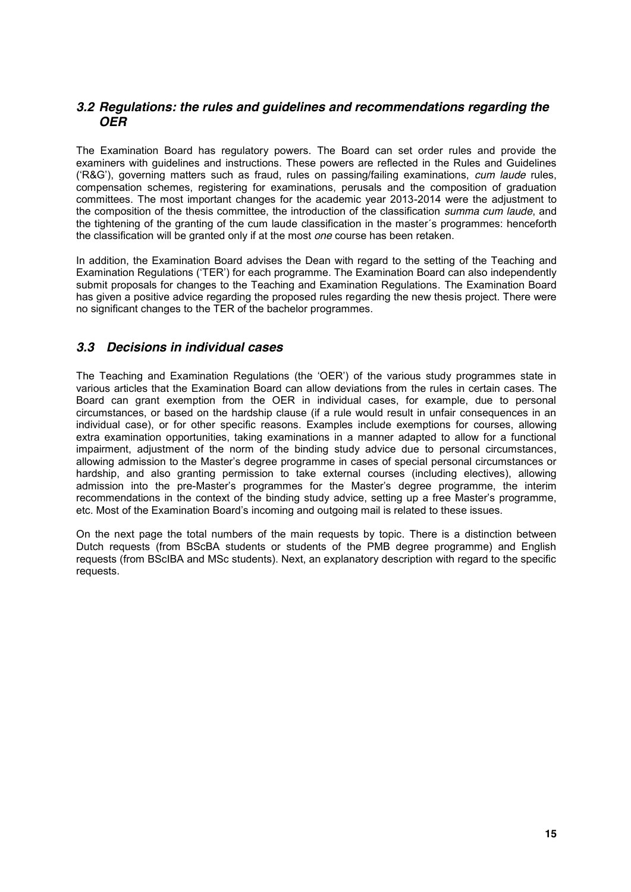## *3.2 Regulations: the rules and guidelines and recommendations regarding the OER*

The Examination Board has regulatory powers. The Board can set order rules and provide the examiners with guidelines and instructions. These powers are reflected in the Rules and Guidelines ('R&G'), governing matters such as fraud, rules on passing/failing examinations, *cum laude* rules, compensation schemes, registering for examinations, perusals and the composition of graduation committees. The most important changes for the academic year 2013-2014 were the adjustment to the composition of the thesis committee, the introduction of the classification *summa cum laude*, and the tightening of the granting of the cum laude classification in the master´s programmes: henceforth the classification will be granted only if at the most *one* course has been retaken.

In addition, the Examination Board advises the Dean with regard to the setting of the Teaching and Examination Regulations ('TER') for each programme. The Examination Board can also independently submit proposals for changes to the Teaching and Examination Regulations. The Examination Board has given a positive advice regarding the proposed rules regarding the new thesis project. There were no significant changes to the TER of the bachelor programmes.

## *3.3 Decisions in individual cases*

The Teaching and Examination Regulations (the 'OER') of the various study programmes state in various articles that the Examination Board can allow deviations from the rules in certain cases. The Board can grant exemption from the OER in individual cases, for example, due to personal circumstances, or based on the hardship clause (if a rule would result in unfair consequences in an individual case), or for other specific reasons. Examples include exemptions for courses, allowing extra examination opportunities, taking examinations in a manner adapted to allow for a functional impairment, adjustment of the norm of the binding study advice due to personal circumstances, allowing admission to the Master's degree programme in cases of special personal circumstances or hardship, and also granting permission to take external courses (including electives), allowing admission into the pre-Master's programmes for the Master's degree programme, the interim recommendations in the context of the binding study advice, setting up a free Master's programme, etc. Most of the Examination Board's incoming and outgoing mail is related to these issues.

On the next page the total numbers of the main requests by topic. There is a distinction between Dutch requests (from BScBA students or students of the PMB degree programme) and English requests (from BScIBA and MSc students). Next, an explanatory description with regard to the specific requests.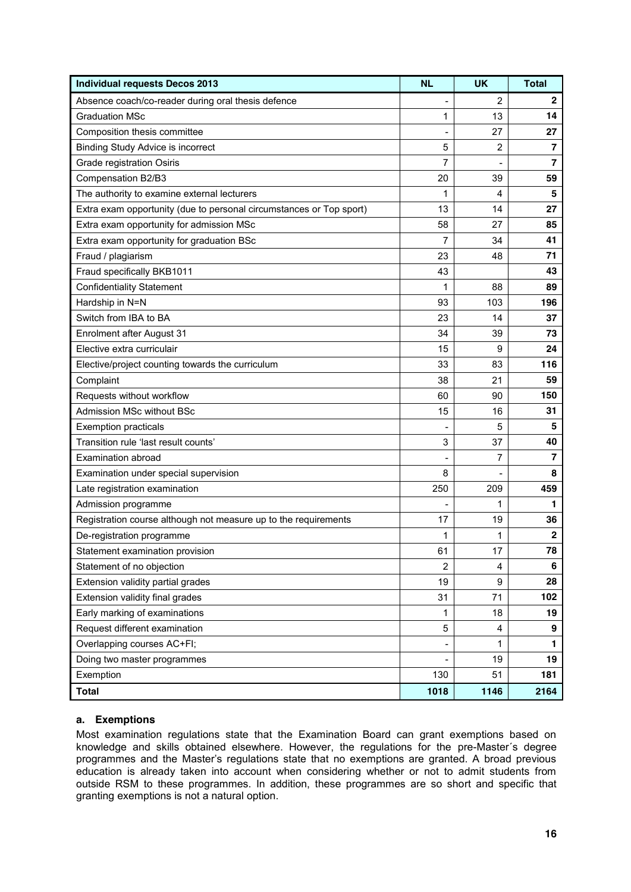| <b>Individual requests Decos 2013</b>                               | <b>NL</b>      | <b>UK</b> | <b>Total</b> |
|---------------------------------------------------------------------|----------------|-----------|--------------|
| Absence coach/co-reader during oral thesis defence                  |                | 2         | $\mathbf{2}$ |
| <b>Graduation MSc</b>                                               | 1              | 13        | 14           |
| Composition thesis committee                                        |                | 27        | 27           |
| <b>Binding Study Advice is incorrect</b>                            | 5              | 2         | 7            |
| Grade registration Osiris                                           | 7              |           | 7            |
| Compensation B2/B3                                                  | 20             | 39        | 59           |
| The authority to examine external lecturers                         | 1              | 4         | 5            |
| Extra exam opportunity (due to personal circumstances or Top sport) | 13             | 14        | 27           |
| Extra exam opportunity for admission MSc                            | 58             | 27        | 85           |
| Extra exam opportunity for graduation BSc                           | 7              | 34        | 41           |
| Fraud / plagiarism                                                  | 23             | 48        | 71           |
| Fraud specifically BKB1011                                          | 43             |           | 43           |
| <b>Confidentiality Statement</b>                                    | 1              | 88        | 89           |
| Hardship in N=N                                                     | 93             | 103       | 196          |
| Switch from IBA to BA                                               | 23             | 14        | 37           |
| Enrolment after August 31                                           | 34             | 39        | 73           |
| Elective extra curriculair                                          | 15             | 9         | 24           |
| Elective/project counting towards the curriculum                    | 33             | 83        | 116          |
| Complaint                                                           | 38             | 21        | 59           |
| Requests without workflow                                           | 60             | 90        | 150          |
| Admission MSc without BSc                                           | 15             | 16        | 31           |
| <b>Exemption practicals</b>                                         |                | 5         | 5            |
| Transition rule 'last result counts'                                | 3              | 37        | 40           |
| Examination abroad                                                  |                | 7         | 7            |
| Examination under special supervision                               | 8              |           | 8            |
| Late registration examination                                       | 250            | 209       | 459          |
| Admission programme                                                 |                | 1         | 1            |
| Registration course although not measure up to the requirements     | 17             | 19        | 36           |
| De-registration programme                                           | 1              | 1         | $\mathbf 2$  |
| Statement examination provision                                     | 61             | 17        | 78           |
| Statement of no objection                                           | $\overline{2}$ | 4         | 6            |
| Extension validity partial grades                                   | 19             | 9         | 28           |
| Extension validity final grades                                     | 31             | 71        | 102          |
| Early marking of examinations                                       | 1              | 18        | 19           |
| Request different examination                                       | 5              | 4         | 9            |
| Overlapping courses AC+FI;                                          |                | 1         | 1            |
| Doing two master programmes                                         |                | 19        | 19           |
| Exemption                                                           | 130            | 51        | 181          |
| <b>Total</b>                                                        | 1018           | 1146      | 2164         |

## **a. Exemptions**

Most examination regulations state that the Examination Board can grant exemptions based on knowledge and skills obtained elsewhere. However, the regulations for the pre-Master´s degree programmes and the Master's regulations state that no exemptions are granted. A broad previous education is already taken into account when considering whether or not to admit students from outside RSM to these programmes. In addition, these programmes are so short and specific that granting exemptions is not a natural option.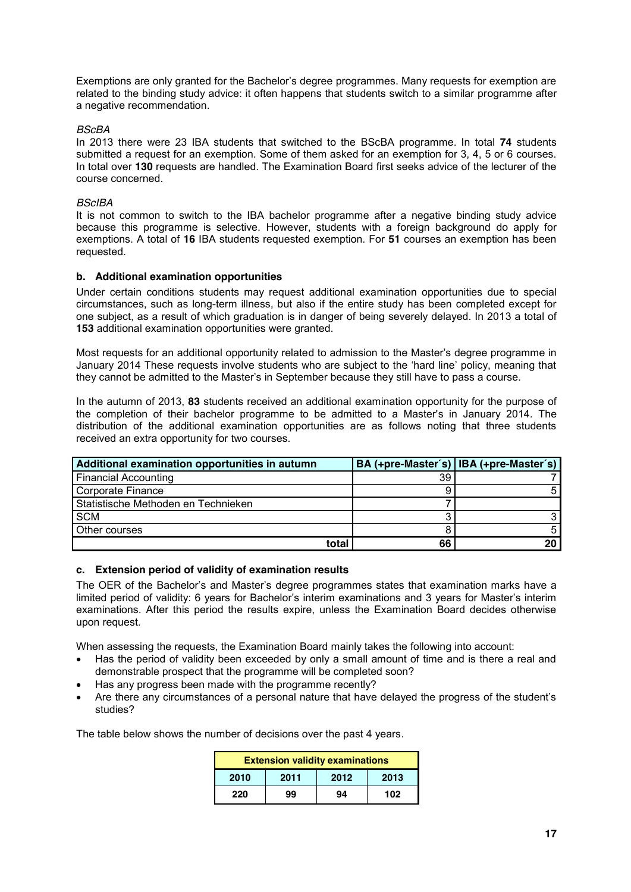Exemptions are only granted for the Bachelor's degree programmes. Many requests for exemption are related to the binding study advice: it often happens that students switch to a similar programme after a negative recommendation.

## *BScBA*

In 2013 there were 23 IBA students that switched to the BScBA programme. In total **74** students submitted a request for an exemption. Some of them asked for an exemption for 3, 4, 5 or 6 courses. In total over **130** requests are handled. The Examination Board first seeks advice of the lecturer of the course concerned.

## *BScIBA*

It is not common to switch to the IBA bachelor programme after a negative binding study advice because this programme is selective. However, students with a foreign background do apply for exemptions. A total of **16** IBA students requested exemption. For **51** courses an exemption has been requested.

## **b. Additional examination opportunities**

Under certain conditions students may request additional examination opportunities due to special circumstances, such as long-term illness, but also if the entire study has been completed except for one subject, as a result of which graduation is in danger of being severely delayed. In 2013 a total of **153** additional examination opportunities were granted.

Most requests for an additional opportunity related to admission to the Master's degree programme in January 2014 These requests involve students who are subject to the 'hard line' policy, meaning that they cannot be admitted to the Master's in September because they still have to pass a course.

In the autumn of 2013, **83** students received an additional examination opportunity for the purpose of the completion of their bachelor programme to be admitted to a Master's in January 2014. The distribution of the additional examination opportunities are as follows noting that three students received an extra opportunity for two courses.

| Additional examination opportunities in autumn |    | BA (+pre-Master's)   IBA (+pre-Master's) |
|------------------------------------------------|----|------------------------------------------|
| <b>Financial Accounting</b>                    | 39 |                                          |
| Corporate Finance                              |    |                                          |
| Statistische Methoden en Technieken            |    |                                          |
| <b>SCM</b>                                     |    |                                          |
| Other courses                                  |    |                                          |
| total                                          | 66 | 20                                       |

### **c. Extension period of validity of examination results**

The OER of the Bachelor's and Master's degree programmes states that examination marks have a limited period of validity: 6 years for Bachelor's interim examinations and 3 years for Master's interim examinations. After this period the results expire, unless the Examination Board decides otherwise upon request.

When assessing the requests, the Examination Board mainly takes the following into account:

- Has the period of validity been exceeded by only a small amount of time and is there a real and demonstrable prospect that the programme will be completed soon?
- Has any progress been made with the programme recently?
- Are there any circumstances of a personal nature that have delayed the progress of the student's studies?

The table below shows the number of decisions over the past 4 years.

| <b>Extension validity examinations</b> |      |      |      |  |  |  |  |  |  |  |
|----------------------------------------|------|------|------|--|--|--|--|--|--|--|
| 2010                                   | 2011 | 2012 | 2013 |  |  |  |  |  |  |  |
| 220                                    | 99   | 94   | 102  |  |  |  |  |  |  |  |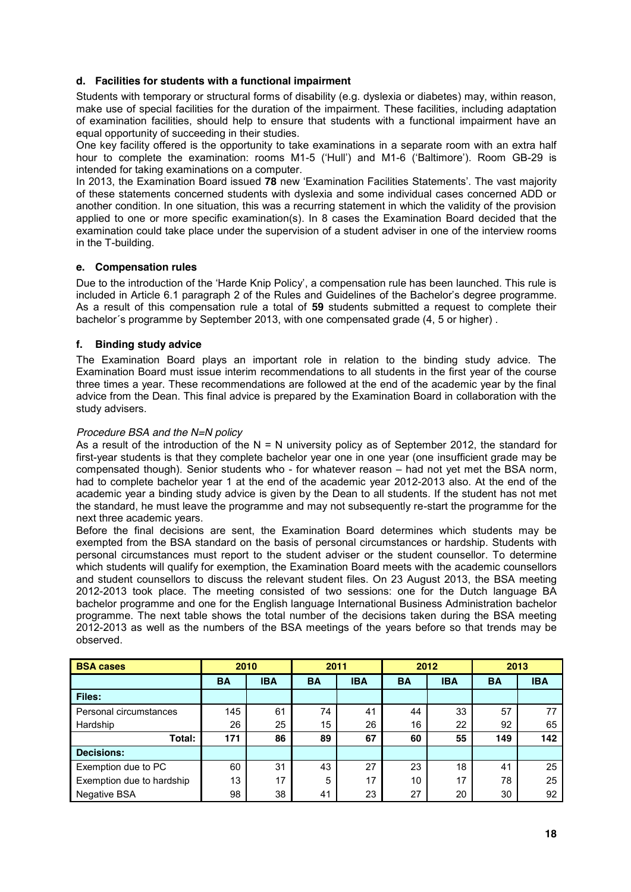## **d. Facilities for students with a functional impairment**

Students with temporary or structural forms of disability (e.g. dyslexia or diabetes) may, within reason, make use of special facilities for the duration of the impairment. These facilities, including adaptation of examination facilities, should help to ensure that students with a functional impairment have an equal opportunity of succeeding in their studies.

One key facility offered is the opportunity to take examinations in a separate room with an extra half hour to complete the examination: rooms M1-5 ('Hull') and M1-6 ('Baltimore'). Room GB-29 is intended for taking examinations on a computer.

In 2013, the Examination Board issued **78** new 'Examination Facilities Statements'. The vast majority of these statements concerned students with dyslexia and some individual cases concerned ADD or another condition. In one situation, this was a recurring statement in which the validity of the provision applied to one or more specific examination(s). In 8 cases the Examination Board decided that the examination could take place under the supervision of a student adviser in one of the interview rooms in the T-building.

## **e. Compensation rules**

Due to the introduction of the 'Harde Knip Policy', a compensation rule has been launched. This rule is included in Article 6.1 paragraph 2 of the Rules and Guidelines of the Bachelor's degree programme. As a result of this compensation rule a total of **59** students submitted a request to complete their bachelor´s programme by September 2013, with one compensated grade (4, 5 or higher) .

## **f. Binding study advice**

The Examination Board plays an important role in relation to the binding study advice. The Examination Board must issue interim recommendations to all students in the first year of the course three times a year. These recommendations are followed at the end of the academic year by the final advice from the Dean. This final advice is prepared by the Examination Board in collaboration with the study advisers.

## *Procedure BSA and the N=N policy*

As a result of the introduction of the  $N = N$  university policy as of September 2012, the standard for first-year students is that they complete bachelor year one in one year (one insufficient grade may be compensated though). Senior students who - for whatever reason – had not yet met the BSA norm, had to complete bachelor year 1 at the end of the academic year 2012-2013 also. At the end of the academic year a binding study advice is given by the Dean to all students. If the student has not met the standard, he must leave the programme and may not subsequently re-start the programme for the next three academic years.

Before the final decisions are sent, the Examination Board determines which students may be exempted from the BSA standard on the basis of personal circumstances or hardship. Students with personal circumstances must report to the student adviser or the student counsellor. To determine which students will qualify for exemption, the Examination Board meets with the academic counsellors and student counsellors to discuss the relevant student files. On 23 August 2013, the BSA meeting 2012-2013 took place. The meeting consisted of two sessions: one for the Dutch language BA bachelor programme and one for the English language International Business Administration bachelor programme. The next table shows the total number of the decisions taken during the BSA meeting 2012-2013 as well as the numbers of the BSA meetings of the years before so that trends may be observed.

| 2010<br><b>BSA cases</b>  |           | 2011       |           | 2012       |           | 2013       |           |            |
|---------------------------|-----------|------------|-----------|------------|-----------|------------|-----------|------------|
|                           | <b>BA</b> | <b>IBA</b> | <b>BA</b> | <b>IBA</b> | <b>BA</b> | <b>IBA</b> | <b>BA</b> | <b>IBA</b> |
| Files:                    |           |            |           |            |           |            |           |            |
| Personal circumstances    | 145       | 61         | 74        | 41         | 44        | 33         | 57        |            |
| Hardship                  | 26        | 25         | 15        | 26         | 16        | 22         | 92        | 65         |
| Total:                    | 171       | 86         | 89        | 67         | 60        | 55         | 149       | 142        |
| <b>Decisions:</b>         |           |            |           |            |           |            |           |            |
| Exemption due to PC       | 60        | 31         | 43        | 27         | 23        | 18         | 41        | 25         |
| Exemption due to hardship | 13        | 17         | 5         | 17         | 10        | 17         | 78        | 25         |
| <b>Negative BSA</b>       | 98        | 38         | 41        | 23         | 27        | 20         | 30        | 92         |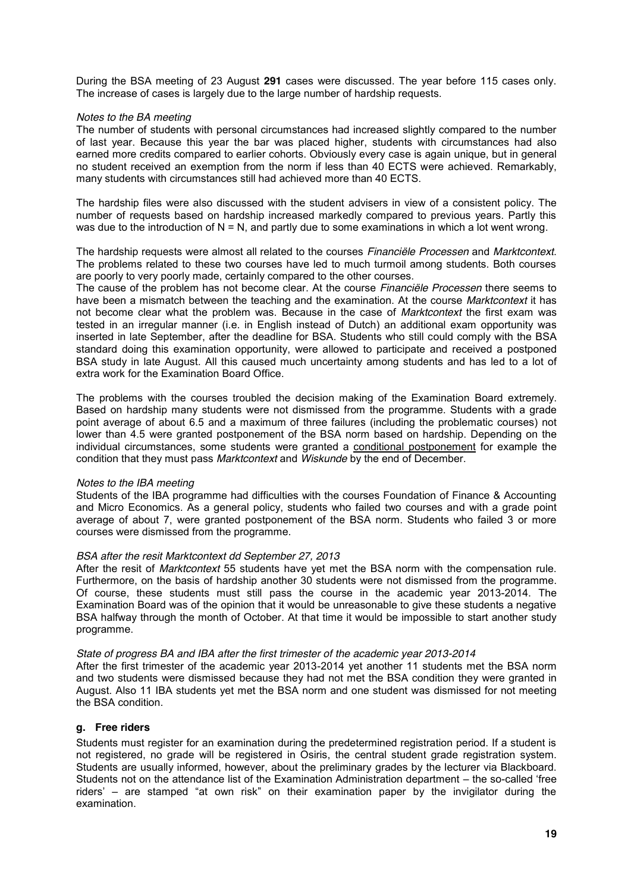During the BSA meeting of 23 August **291** cases were discussed. The year before 115 cases only. The increase of cases is largely due to the large number of hardship requests.

### *Notes to the BA meeting*

The number of students with personal circumstances had increased slightly compared to the number of last year. Because this year the bar was placed higher, students with circumstances had also earned more credits compared to earlier cohorts. Obviously every case is again unique, but in general no student received an exemption from the norm if less than 40 ECTS were achieved. Remarkably, many students with circumstances still had achieved more than 40 ECTS.

The hardship files were also discussed with the student advisers in view of a consistent policy. The number of requests based on hardship increased markedly compared to previous years. Partly this was due to the introduction of  $N = N$ , and partly due to some examinations in which a lot went wrong.

The hardship requests were almost all related to the courses *Financiële Processen* and *Marktcontext*. The problems related to these two courses have led to much turmoil among students. Both courses are poorly to very poorly made, certainly compared to the other courses.

The cause of the problem has not become clear. At the course *Financiële Processen* there seems to have been a mismatch between the teaching and the examination. At the course *Marktcontext* it has not become clear what the problem was. Because in the case of *Marktcontext* the first exam was tested in an irregular manner (i.e. in English instead of Dutch) an additional exam opportunity was inserted in late September, after the deadline for BSA. Students who still could comply with the BSA standard doing this examination opportunity, were allowed to participate and received a postponed BSA study in late August. All this caused much uncertainty among students and has led to a lot of extra work for the Examination Board Office.

The problems with the courses troubled the decision making of the Examination Board extremely. Based on hardship many students were not dismissed from the programme. Students with a grade point average of about 6.5 and a maximum of three failures (including the problematic courses) not lower than 4.5 were granted postponement of the BSA norm based on hardship. Depending on the individual circumstances, some students were granted a conditional postponement for example the condition that they must pass *Marktcontext* and *Wiskunde* by the end of December.

### *Notes to the IBA meeting*

Students of the IBA programme had difficulties with the courses Foundation of Finance & Accounting and Micro Economics. As a general policy, students who failed two courses and with a grade point average of about 7, were granted postponement of the BSA norm. Students who failed 3 or more courses were dismissed from the programme.

### *BSA after the resit Marktcontext dd September 27, 2013*

After the resit of *Marktcontext* 55 students have yet met the BSA norm with the compensation rule. Furthermore, on the basis of hardship another 30 students were not dismissed from the programme. Of course, these students must still pass the course in the academic year 2013-2014. The Examination Board was of the opinion that it would be unreasonable to give these students a negative BSA halfway through the month of October. At that time it would be impossible to start another study programme.

### *State of progress BA and IBA after the first trimester of the academic year 2013-2014*

After the first trimester of the academic year 2013-2014 yet another 11 students met the BSA norm and two students were dismissed because they had not met the BSA condition they were granted in August. Also 11 IBA students yet met the BSA norm and one student was dismissed for not meeting the BSA condition.

## **g. Free riders**

Students must register for an examination during the predetermined registration period. If a student is not registered, no grade will be registered in Osiris, the central student grade registration system. Students are usually informed, however, about the preliminary grades by the lecturer via Blackboard. Students not on the attendance list of the Examination Administration department – the so-called 'free riders' – are stamped "at own risk" on their examination paper by the invigilator during the examination.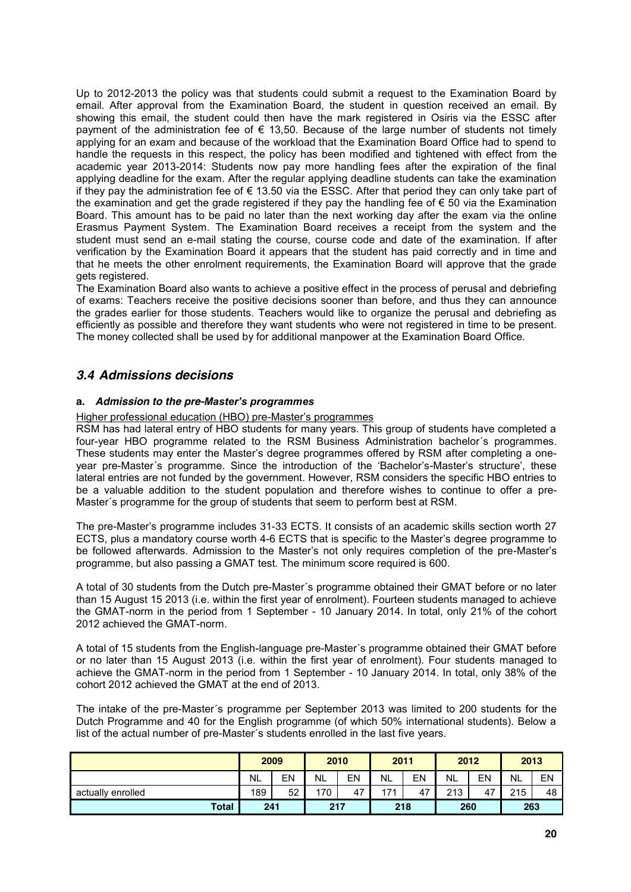Up to 2012-2013 the policy was that students could submit a request to the Examination Board by email. After approval from the Examination Board, the student in question received an email. By showing this email, the student could then have the mark registered in Osiris via the ESSC after payment of the administration fee of  $\epsilon$  13,50. Because of the large number of students not timely applying for an exam and because of the workload that the Examination Board Office had to spend to handle the requests in this respect, the policy has been modified and tightened with effect from the academic year 2013-2014: Students now pay more handling fees after the expiration of the final applying deadline for the exam. After the regular applying deadline students can take the examination if they pay the administration fee of  $\epsilon$  13.50 via the ESSC. After that period they can only take part of the examination and get the grade registered if they pay the handling fee of € 50 via the Examination Board. This amount has to be paid no later than the next working day after the exam via the online Erasmus Payment System. The Examination Board receives a receipt from the system and the student must send an e-mail stating the course, course code and date of the examination. If after verification by the Examination Board it appears that the student has paid correctly and in time and that he meets the other enrolment requirements, the Examination Board will approve that the grade gets registered.

The Examination Board also wants to achieve a positive effect in the process of perusal and debriefing of exams: Teachers receive the positive decisions sooner than before, and thus they can announce the grades earlier for those students. Teachers would like to organize the perusal and debriefing as efficiently as possible and therefore they want students who were not registered in time to be present. The money collected shall be used by for additional manpower at the Examination Board Office.

## *3.4 Admissions decisions*

## **a.** *Admission to the pre-Master's programmes*

Higher professional education (HBO) pre-Master's programmes

RSM has had lateral entry of HBO students for many years. This group of students have completed a four-year HBO programme related to the RSM Business Administration bachelor´s programmes. These students may enter the Master's degree programmes offered by RSM after completing a oneyear pre-Master´s programme. Since the introduction of the 'Bachelor's-Master's structure', these lateral entries are not funded by the government. However, RSM considers the specific HBO entries to be a valuable addition to the student population and therefore wishes to continue to offer a pre-Master´s programme for the group of students that seem to perform best at RSM.

The pre-Master's programme includes 31-33 ECTS. It consists of an academic skills section worth 27 ECTS, plus a mandatory course worth 4-6 ECTS that is specific to the Master's degree programme to be followed afterwards. Admission to the Master's not only requires completion of the pre-Master's programme, but also passing a GMAT test. The minimum score required is 600.

A total of 30 students from the Dutch pre-Master´s programme obtained their GMAT before or no later than 15 August 15 2013 (i.e. within the first year of enrolment). Fourteen students managed to achieve the GMAT-norm in the period from 1 September - 10 January 2014. In total, only 21% of the cohort 2012 achieved the GMAT-norm.

A total of 15 students from the English-language pre-Master´s programme obtained their GMAT before or no later than 15 August 2013 (i.e. within the first year of enrolment). Four students managed to achieve the GMAT-norm in the period from 1 September - 10 January 2014. In total, only 38% of the cohort 2012 achieved the GMAT at the end of 2013.

The intake of the pre-Master´s programme per September 2013 was limited to 200 students for the Dutch Programme and 40 for the English programme (of which 50% international students). Below a list of the actual number of pre-Master´s students enrolled in the last five years.

|                   | 2009 |     | 2010      |     | 2011      |     | 2012      |     | 2013      |     |
|-------------------|------|-----|-----------|-----|-----------|-----|-----------|-----|-----------|-----|
|                   | NL   | EN  | <b>NL</b> | EN  | <b>NL</b> | EN  | <b>NL</b> | EN  | <b>NL</b> | EN  |
| actually enrolled | 189  | 52  | 170       | 47  | 171       | 47  | 213       | 47  | 215       | 48  |
| <b>Total</b>      |      | 241 |           | 217 |           | 218 |           | 260 |           | 263 |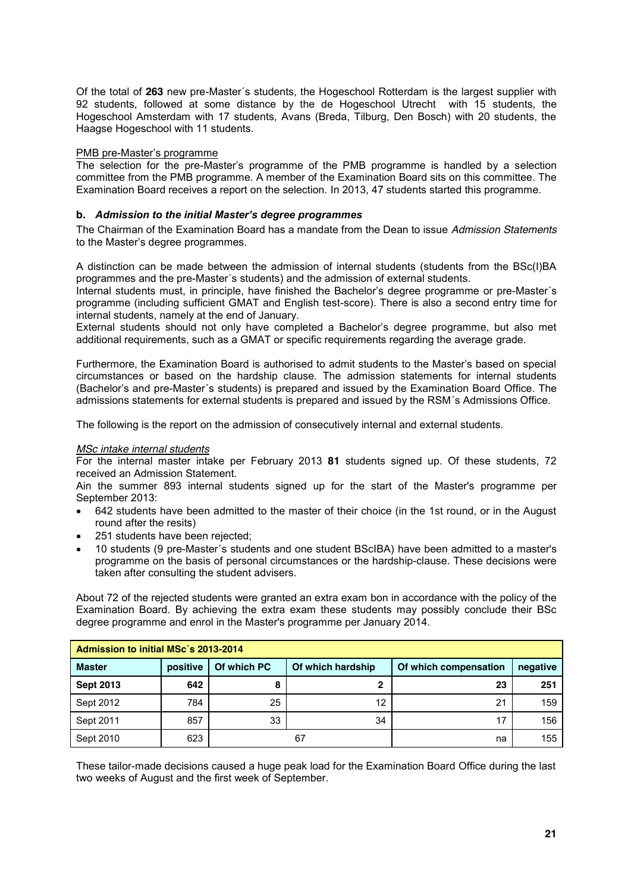Of the total of **263** new pre-Master´s students, the Hogeschool Rotterdam is the largest supplier with 92 students, followed at some distance by the de Hogeschool Utrecht with 15 students, the Hogeschool Amsterdam with 17 students, Avans (Breda, Tilburg, Den Bosch) with 20 students, the Haagse Hogeschool with 11 students.

## PMB pre-Master's programme

The selection for the pre-Master's programme of the PMB programme is handled by a selection committee from the PMB programme. A member of the Examination Board sits on this committee. The Examination Board receives a report on the selection. In 2013, 47 students started this programme.

## **b.** *Admission to the initial Master's degree programmes*

The Chairman of the Examination Board has a mandate from the Dean to issue *Admission Statements* to the Master's degree programmes.

A distinction can be made between the admission of internal students (students from the BSc(I)BA programmes and the pre-Master´s students) and the admission of external students.

Internal students must, in principle, have finished the Bachelor's degree programme or pre-Master´s programme (including sufficient GMAT and English test-score). There is also a second entry time for internal students, namely at the end of January.

External students should not only have completed a Bachelor's degree programme, but also met additional requirements, such as a GMAT or specific requirements regarding the average grade.

Furthermore, the Examination Board is authorised to admit students to the Master's based on special circumstances or based on the hardship clause. The admission statements for internal students (Bachelor's and pre-Master´s students) is prepared and issued by the Examination Board Office. The admissions statements for external students is prepared and issued by the RSM´s Admissions Office.

The following is the report on the admission of consecutively internal and external students.

### *MSc intake internal students*

For the internal master intake per February 2013 **81** students signed up. Of these students, 72 received an Admission Statement.

Ain the summer 893 internal students signed up for the start of the Master's programme per September 2013:

- 642 students have been admitted to the master of their choice (in the 1st round, or in the August round after the resits)
- 251 students have been rejected:
- 10 students (9 pre-Master's students and one student BScIBA) have been admitted to a master's programme on the basis of personal circumstances or the hardship-clause. These decisions were taken after consulting the student advisers.

About 72 of the rejected students were granted an extra exam bon in accordance with the policy of the Examination Board. By achieving the extra exam these students may possibly conclude their BSc degree programme and enrol in the Master's programme per January 2014.

| Admission to initial MSc's 2013-2014 |          |             |                   |                       |          |  |
|--------------------------------------|----------|-------------|-------------------|-----------------------|----------|--|
| <b>Master</b>                        | positive | Of which PC | Of which hardship | Of which compensation | negative |  |
| <b>Sept 2013</b>                     | 642      |             | C                 | 23                    | 251      |  |
| Sept 2012                            | 784      | 25          | 12                | 21                    | 159      |  |
| Sept 2011                            | 857      | 33          | 34                | 17                    | 156      |  |
| Sept 2010                            | 623      |             | 67                | na                    | 155      |  |

These tailor-made decisions caused a huge peak load for the Examination Board Office during the last two weeks of August and the first week of September.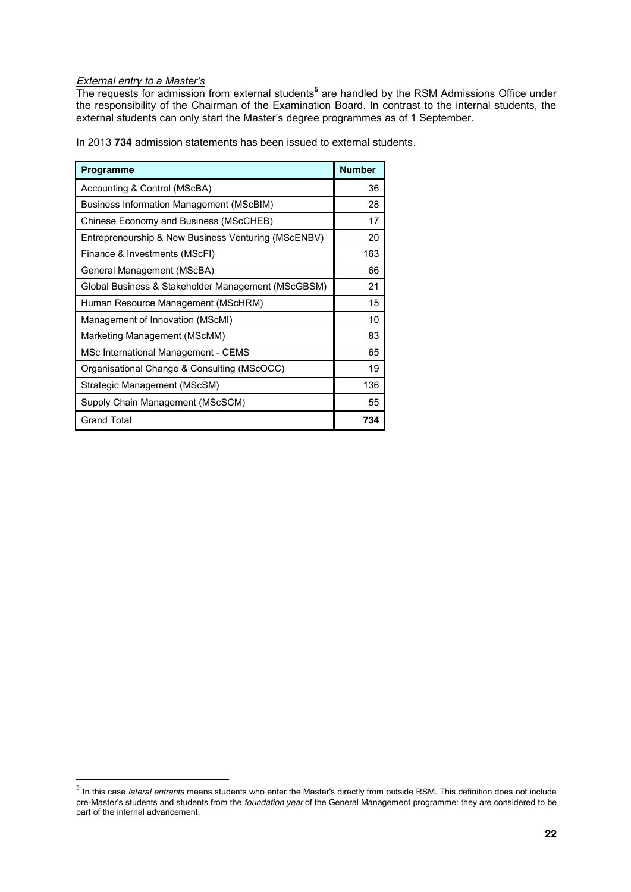## *External entry to a Master's*

The requests for admission from external students**<sup>5</sup>** are handled by the RSM Admissions Office under the responsibility of the Chairman of the Examination Board. In contrast to the internal students, the external students can only start the Master's degree programmes as of 1 September.

In 2013 **734** admission statements has been issued to external students.

| Programme                                           | <b>Number</b> |
|-----------------------------------------------------|---------------|
| Accounting & Control (MScBA)                        | 36            |
| Business Information Management (MScBIM)            | 28            |
| Chinese Economy and Business (MScCHEB)              | 17            |
| Entrepreneurship & New Business Venturing (MScENBV) | 20            |
| Finance & Investments (MScFI)                       | 163           |
| General Management (MScBA)                          | 66            |
| Global Business & Stakeholder Management (MScGBSM)  | 21            |
| Human Resource Management (MScHRM)                  | 15            |
| Management of Innovation (MScMI)                    | 10            |
| Marketing Management (MScMM)                        | 83            |
| MSc International Management - CEMS                 | 65            |
| Organisational Change & Consulting (MScOCC)         | 19            |
| Strategic Management (MScSM)                        | 136           |
| Supply Chain Management (MScSCM)                    | 55            |
| <b>Grand Total</b>                                  | 734           |

 <sup>5</sup> In this case *lateral entrants* means students who enter the Master's directly from outside RSM. This definition does not include pre-Master's students and students from the *foundation year* of the General Management programme: they are considered to be part of the internal advancement.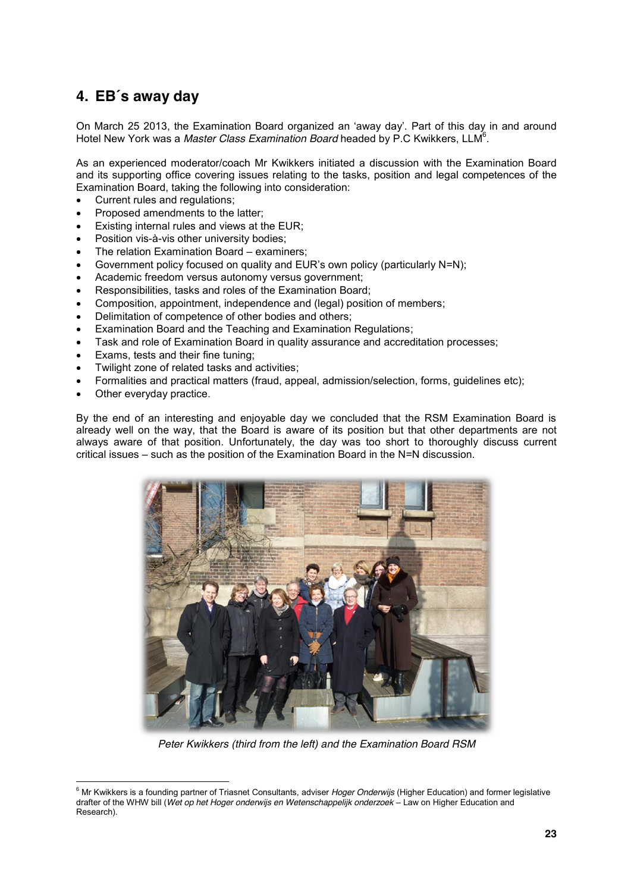## **4. EB´s away day**

On March 25 2013, the Examination Board organized an 'away day'. Part of this day in and around Hotel New York was a Master Class Examination Board headed by P.C Kwikkers, LLM<sup>6</sup>.

As an experienced moderator/coach Mr Kwikkers initiated a discussion with the Examination Board and its supporting office covering issues relating to the tasks, position and legal competences of the Examination Board, taking the following into consideration:

- Current rules and regulations;
- Proposed amendments to the latter;
- Existing internal rules and views at the EUR;
- Position vis-à-vis other university bodies;
- The relation Examination Board examiners:
- Government policy focused on quality and EUR's own policy (particularly N=N);
- Academic freedom versus autonomy versus government;
- Responsibilities, tasks and roles of the Examination Board;
- Composition, appointment, independence and (legal) position of members;
- Delimitation of competence of other bodies and others;
- Examination Board and the Teaching and Examination Regulations;
- Task and role of Examination Board in quality assurance and accreditation processes;
- Exams, tests and their fine tuning;
- Twilight zone of related tasks and activities;
- Formalities and practical matters (fraud, appeal, admission/selection, forms, quidelines etc);
- Other everyday practice.

By the end of an interesting and enjoyable day we concluded that the RSM Examination Board is already well on the way, that the Board is aware of its position but that other departments are not always aware of that position. Unfortunately, the day was too short to thoroughly discuss current critical issues – such as the position of the Examination Board in the N=N discussion.



*Peter Kwikkers (third from the left) and the Examination Board RSM*

<sup>6</sup> Mr Kwikkers is a founding partner of Triasnet Consultants, adviser *Hoger Onderwijs* (Higher Education) and former legislative drafter of the WHW bill (*Wet op het Hoger onderwijs en Wetenschappelijk onderzoek –* Law on Higher Education and Research).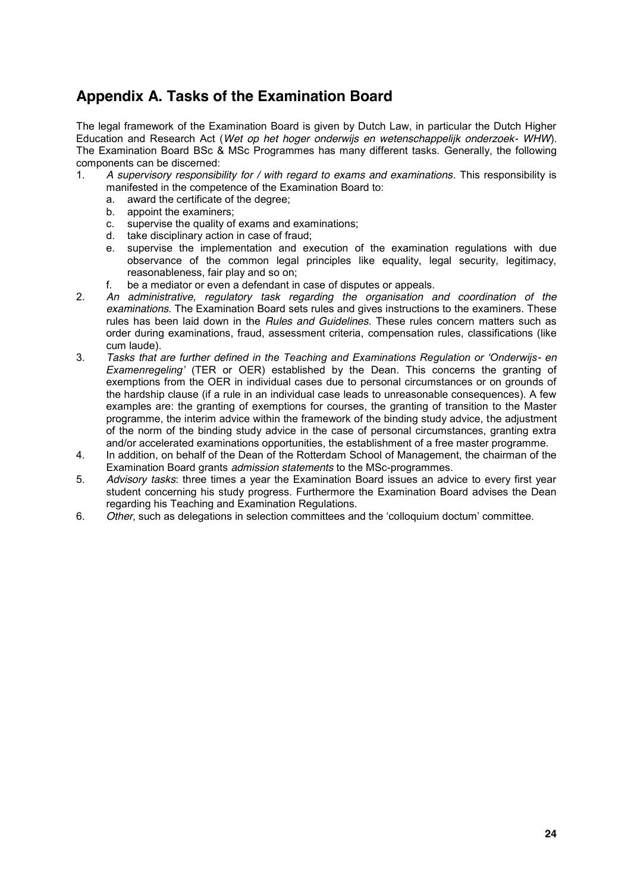# **Appendix A. Tasks of the Examination Board**

The legal framework of the Examination Board is given by Dutch Law, in particular the Dutch Higher Education and Research Act (*Wet op het hoger onderwijs en wetenschappelijk onderzoek- WHW*). The Examination Board BSc & MSc Programmes has many different tasks. Generally, the following components can be discerned:

- 1. *A supervisory responsibility for / with regard to exams and examinations*. This responsibility is manifested in the competence of the Examination Board to:
	- a. award the certificate of the degree;
	- b. appoint the examiners;
	- c. supervise the quality of exams and examinations;
	- d. take disciplinary action in case of fraud;
	- e. supervise the implementation and execution of the examination regulations with due observance of the common legal principles like equality, legal security, legitimacy, reasonableness, fair play and so on;
	- f. be a mediator or even a defendant in case of disputes or appeals.
- 2. *An administrative, regulatory task regarding the organisation and coordination of the examinations*. The Examination Board sets rules and gives instructions to the examiners. These rules has been laid down in the *Rules and Guidelines*. These rules concern matters such as order during examinations, fraud, assessment criteria, compensation rules, classifications (like cum laude).
- 3. *Tasks that are further defined in the Teaching and Examinations Regulation or 'Onderwijs- en Examenregeling'* (TER or OER) established by the Dean. This concerns the granting of exemptions from the OER in individual cases due to personal circumstances or on grounds of the hardship clause (if a rule in an individual case leads to unreasonable consequences). A few examples are: the granting of exemptions for courses, the granting of transition to the Master programme, the interim advice within the framework of the binding study advice, the adjustment of the norm of the binding study advice in the case of personal circumstances, granting extra and/or accelerated examinations opportunities, the establishment of a free master programme.
- 4. In addition, on behalf of the Dean of the Rotterdam School of Management, the chairman of the Examination Board grants *admission statements* to the MSc-programmes.
- 5. *Advisory tasks*: three times a year the Examination Board issues an advice to every first year student concerning his study progress. Furthermore the Examination Board advises the Dean regarding his Teaching and Examination Regulations.
- 6. *Other*, such as delegations in selection committees and the 'colloquium doctum' committee.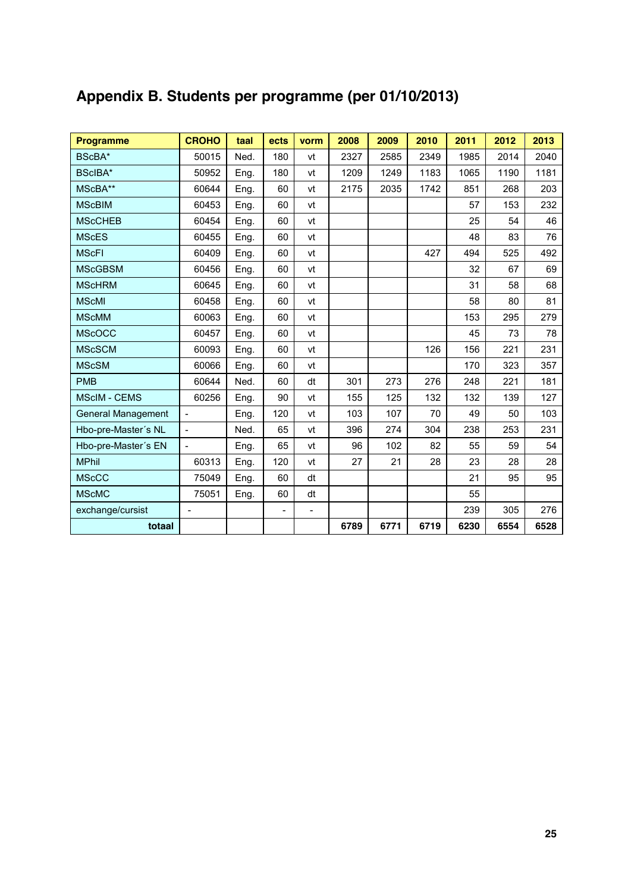| <b>Programme</b>          | <b>CROHO</b>   | taal | ects                     | vorm           | 2008 | 2009 | 2010 | 2011 | 2012 | 2013 |
|---------------------------|----------------|------|--------------------------|----------------|------|------|------|------|------|------|
| BScBA*                    | 50015          | Ned. | 180                      | vt             | 2327 | 2585 | 2349 | 1985 | 2014 | 2040 |
| BScIBA*                   | 50952          | Eng. | 180                      | vt             | 1209 | 1249 | 1183 | 1065 | 1190 | 1181 |
| MScBA**                   | 60644          | Eng. | 60                       | vt             | 2175 | 2035 | 1742 | 851  | 268  | 203  |
| <b>MScBIM</b>             | 60453          | Eng. | 60                       | vt             |      |      |      | 57   | 153  | 232  |
| <b>MScCHEB</b>            | 60454          | Eng. | 60                       | vt             |      |      |      | 25   | 54   | 46   |
| <b>MScES</b>              | 60455          | Eng. | 60                       | vt             |      |      |      | 48   | 83   | 76   |
| <b>MScFI</b>              | 60409          | Eng. | 60                       | vt             |      |      | 427  | 494  | 525  | 492  |
| <b>MScGBSM</b>            | 60456          | Eng. | 60                       | vt             |      |      |      | 32   | 67   | 69   |
| <b>MScHRM</b>             | 60645          | Eng. | 60                       | vt             |      |      |      | 31   | 58   | 68   |
| <b>MScMI</b>              | 60458          | Eng. | 60                       | vt             |      |      |      | 58   | 80   | 81   |
| <b>MScMM</b>              | 60063          | Eng. | 60                       | vt             |      |      |      | 153  | 295  | 279  |
| <b>MScOCC</b>             | 60457          | Eng. | 60                       | vt             |      |      |      | 45   | 73   | 78   |
| <b>MScSCM</b>             | 60093          | Eng. | 60                       | vt             |      |      | 126  | 156  | 221  | 231  |
| <b>MScSM</b>              | 60066          | Eng. | 60                       | vt             |      |      |      | 170  | 323  | 357  |
| <b>PMB</b>                | 60644          | Ned. | 60                       | dt             | 301  | 273  | 276  | 248  | 221  | 181  |
| <b>MScIM - CEMS</b>       | 60256          | Eng. | 90                       | vt             | 155  | 125  | 132  | 132  | 139  | 127  |
| <b>General Management</b> | $\overline{a}$ | Eng. | 120                      | vt             | 103  | 107  | 70   | 49   | 50   | 103  |
| Hbo-pre-Master's NL       | $\overline{a}$ | Ned. | 65                       | vt             | 396  | 274  | 304  | 238  | 253  | 231  |
| Hbo-pre-Master's EN       | $\overline{a}$ | Eng. | 65                       | vt             | 96   | 102  | 82   | 55   | 59   | 54   |
| <b>MPhil</b>              | 60313          | Eng. | 120                      | vt             | 27   | 21   | 28   | 23   | 28   | 28   |
| <b>MScCC</b>              | 75049          | Eng. | 60                       | dt             |      |      |      | 21   | 95   | 95   |
| <b>MScMC</b>              | 75051          | Eng. | 60                       | dt             |      |      |      | 55   |      |      |
| exchange/cursist          | $\sim$         |      | $\overline{\phantom{a}}$ | $\overline{a}$ |      |      |      | 239  | 305  | 276  |
| totaal                    |                |      |                          |                | 6789 | 6771 | 6719 | 6230 | 6554 | 6528 |

# **Appendix B. Students per programme (per 01/10/2013)**